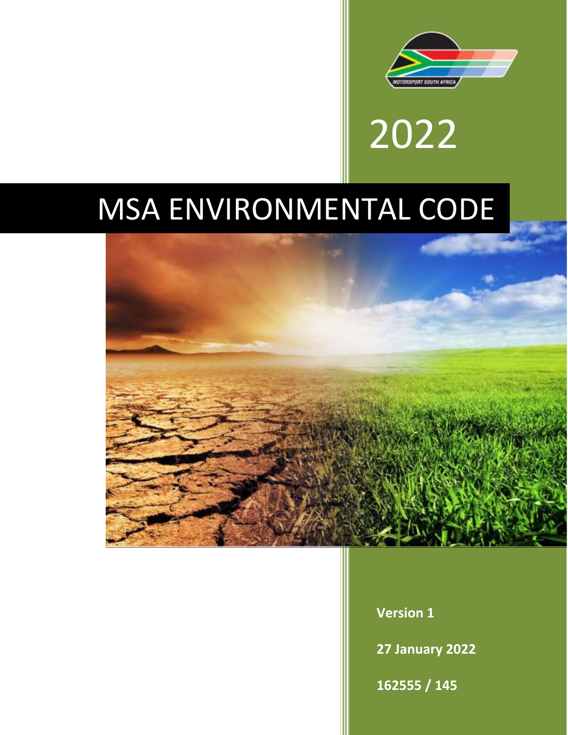

2022

# MSA ENVIRONMENTAL CODE



**Version 1**

**27 January 2022**

**162555 / 145**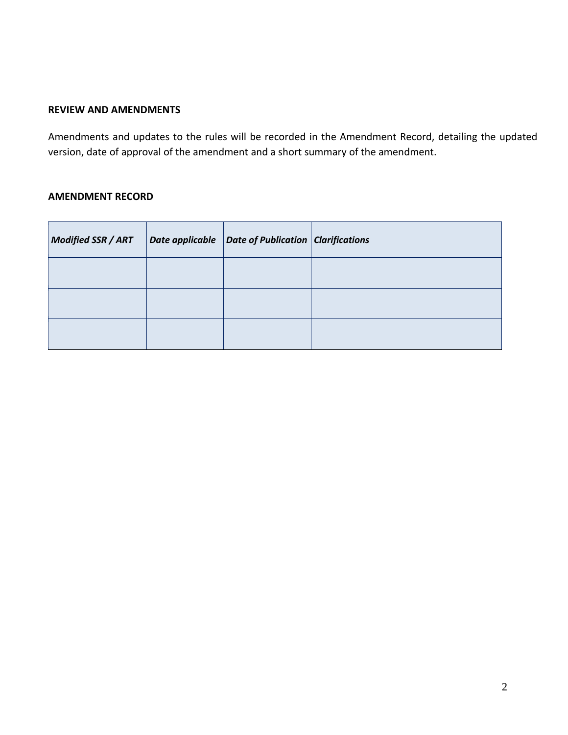# **REVIEW AND AMENDMENTS**

Amendments and updates to the rules will be recorded in the Amendment Record, detailing the updated version, date of approval of the amendment and a short summary of the amendment.

#### **AMENDMENT RECORD**

| <b>Modified SSR / ART</b> | Date applicable | $\vert$ Date of Publication $\vert$ Clarifications |  |
|---------------------------|-----------------|----------------------------------------------------|--|
|                           |                 |                                                    |  |
|                           |                 |                                                    |  |
|                           |                 |                                                    |  |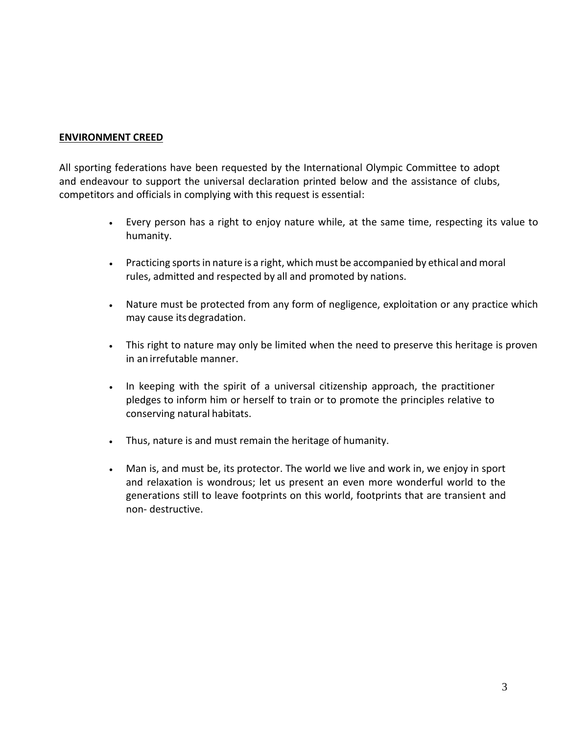#### **ENVIRONMENT CREED**

All sporting federations have been requested by the International Olympic Committee to adopt and endeavour to support the universal declaration printed below and the assistance of clubs, competitors and officials in complying with this request is essential:

- Every person has a right to enjoy nature while, at the same time, respecting its value to humanity.
- Practicing sports in nature is a right, which must be accompanied by ethical and moral rules, admitted and respected by all and promoted by nations.
- Nature must be protected from any form of negligence, exploitation or any practice which may cause its degradation.
- This right to nature may only be limited when the need to preserve this heritage is proven in an irrefutable manner.
- In keeping with the spirit of a universal citizenship approach, the practitioner pledges to inform him or herself to train or to promote the principles relative to conserving natural habitats.
- Thus, nature is and must remain the heritage of humanity.
- Man is, and must be, its protector. The world we live and work in, we enjoy in sport and relaxation is wondrous; let us present an even more wonderful world to the generations still to leave footprints on this world, footprints that are transient and non- destructive.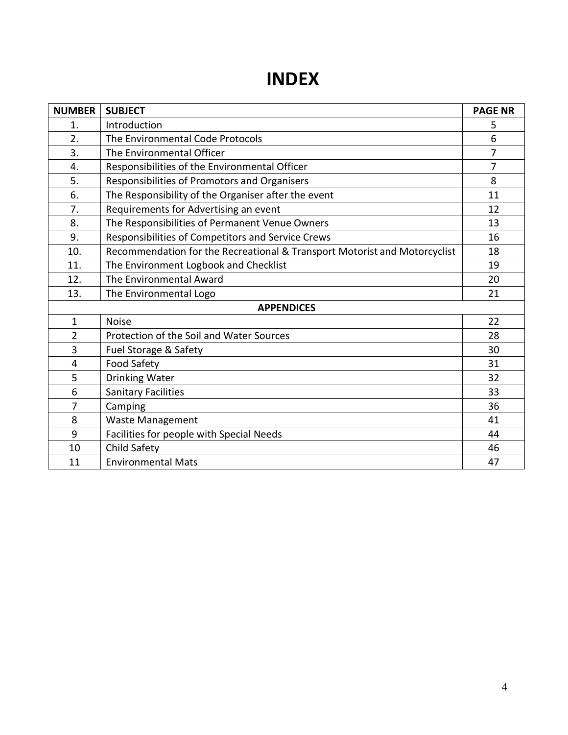# **INDEX**

| <b>NUMBER</b>  | <b>SUBJECT</b>                                                            | <b>PAGE NR</b> |  |
|----------------|---------------------------------------------------------------------------|----------------|--|
| $\mathbf{1}$ . | Introduction                                                              |                |  |
| 2.             | The Environmental Code Protocols                                          |                |  |
| 3.             | The Environmental Officer                                                 | $\overline{7}$ |  |
| 4.             | Responsibilities of the Environmental Officer                             |                |  |
| 5.             | Responsibilities of Promotors and Organisers                              |                |  |
| 6.             | The Responsibility of the Organiser after the event                       |                |  |
| 7.             | Requirements for Advertising an event                                     |                |  |
| 8.             | The Responsibilities of Permanent Venue Owners                            |                |  |
| 9.             | Responsibilities of Competitors and Service Crews                         | 16             |  |
| 10.            | Recommendation for the Recreational & Transport Motorist and Motorcyclist | 18             |  |
| 11.            | The Environment Logbook and Checklist                                     | 19             |  |
| 12.            | The Environmental Award                                                   | 20             |  |
| 13.            | The Environmental Logo                                                    | 21             |  |
|                | <b>APPENDICES</b>                                                         |                |  |
| $\mathbf{1}$   | <b>Noise</b>                                                              | 22             |  |
| $\overline{2}$ | Protection of the Soil and Water Sources                                  |                |  |
| 3              | Fuel Storage & Safety                                                     |                |  |
| 4              | Food Safety                                                               | 31             |  |
| 5              | <b>Drinking Water</b>                                                     | 32             |  |
| 6              | <b>Sanitary Facilities</b>                                                | 33             |  |
| $\overline{7}$ | Camping                                                                   | 36             |  |
| 8              | <b>Waste Management</b>                                                   | 41             |  |
| 9              | Facilities for people with Special Needs                                  |                |  |
| 10             | Child Safety                                                              | 46             |  |
| 11             | <b>Environmental Mats</b>                                                 | 47             |  |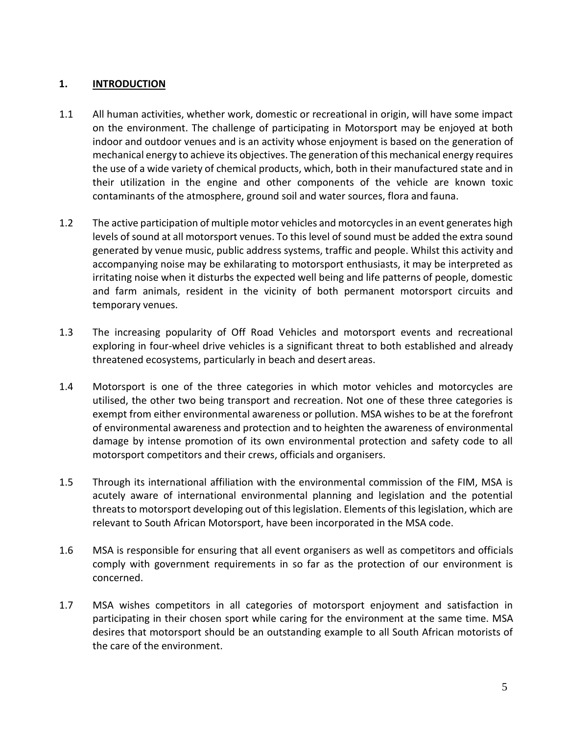# **1. INTRODUCTION**

- 1.1 All human activities, whether work, domestic or recreational in origin, will have some impact on the environment. The challenge of participating in Motorsport may be enjoyed at both indoor and outdoor venues and is an activity whose enjoyment is based on the generation of mechanical energy to achieve its objectives. The generation of this mechanical energy requires the use of a wide variety of chemical products, which, both in their manufactured state and in their utilization in the engine and other components of the vehicle are known toxic contaminants of the atmosphere, ground soil and water sources, flora and fauna.
- 1.2 The active participation of multiple motor vehicles and motorcycles in an event generates high levels of sound at all motorsport venues. To this level of sound must be added the extra sound generated by venue music, public address systems, traffic and people. Whilst this activity and accompanying noise may be exhilarating to motorsport enthusiasts, it may be interpreted as irritating noise when it disturbs the expected well being and life patterns of people, domestic and farm animals, resident in the vicinity of both permanent motorsport circuits and temporary venues.
- 1.3 The increasing popularity of Off Road Vehicles and motorsport events and recreational exploring in four-wheel drive vehicles is a significant threat to both established and already threatened ecosystems, particularly in beach and desert areas.
- 1.4 Motorsport is one of the three categories in which motor vehicles and motorcycles are utilised, the other two being transport and recreation. Not one of these three categories is exempt from either environmental awareness or pollution. MSA wishes to be at the forefront of environmental awareness and protection and to heighten the awareness of environmental damage by intense promotion of its own environmental protection and safety code to all motorsport competitors and their crews, officials and organisers.
- 1.5 Through its international affiliation with the environmental commission of the FIM, MSA is acutely aware of international environmental planning and legislation and the potential threats to motorsport developing out of this legislation. Elements of this legislation, which are relevant to South African Motorsport, have been incorporated in the MSA code.
- 1.6 MSA is responsible for ensuring that all event organisers as well as competitors and officials comply with government requirements in so far as the protection of our environment is concerned.
- 1.7 MSA wishes competitors in all categories of motorsport enjoyment and satisfaction in participating in their chosen sport while caring for the environment at the same time. MSA desires that motorsport should be an outstanding example to all South African motorists of the care of the environment.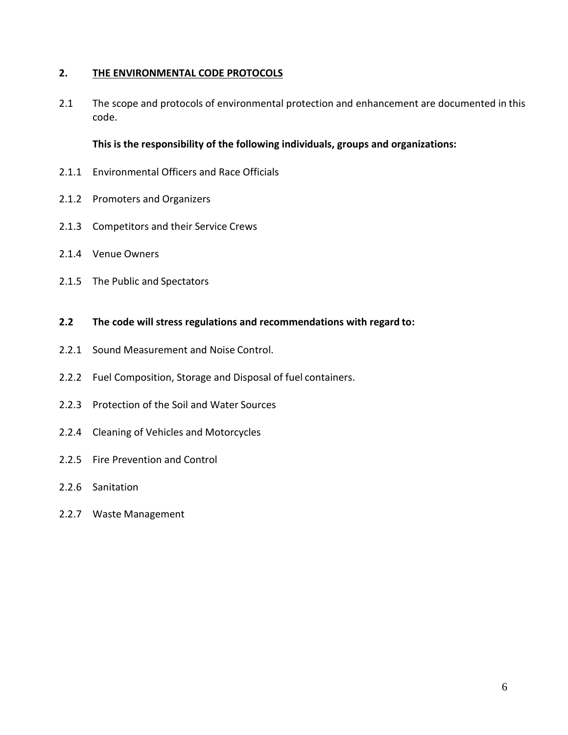# **2. THE ENVIRONMENTAL CODE PROTOCOLS**

2.1 The scope and protocols of environmental protection and enhancement are documented in this code.

# **This is the responsibility of the following individuals, groups and organizations:**

- 2.1.1 Environmental Officers and Race Officials
- 2.1.2 Promoters and Organizers
- 2.1.3 Competitors and their Service Crews
- 2.1.4 Venue Owners
- 2.1.5 The Public and Spectators
- **2.2 The code will stress regulations and recommendations with regard to:**
- 2.2.1 Sound Measurement and Noise Control.
- 2.2.2 Fuel Composition, Storage and Disposal of fuel containers.
- 2.2.3 Protection of the Soil and Water Sources
- 2.2.4 Cleaning of Vehicles and Motorcycles
- 2.2.5 Fire Prevention and Control
- 2.2.6 Sanitation
- 2.2.7 Waste Management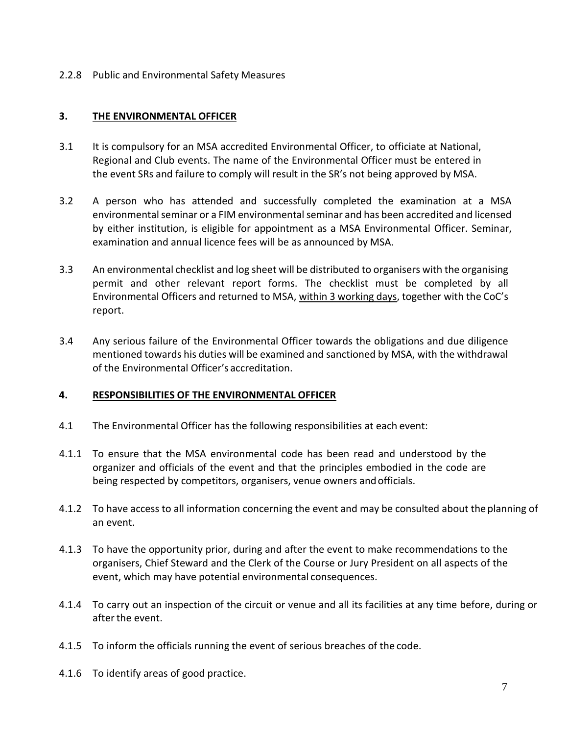2.2.8 Public and Environmental Safety Measures

# **3. THE ENVIRONMENTAL OFFICER**

- 3.1 It is compulsory for an MSA accredited Environmental Officer, to officiate at National, Regional and Club events. The name of the Environmental Officer must be entered in the event SRs and failure to comply will result in the SR's not being approved by MSA.
- 3.2 A person who has attended and successfully completed the examination at a MSA environmental seminar or a FIM environmental seminar and has been accredited and licensed by either institution, is eligible for appointment as a MSA Environmental Officer. Seminar, examination and annual licence fees will be as announced by MSA.
- 3.3 An environmental checklist and log sheet will be distributed to organisers with the organising permit and other relevant report forms. The checklist must be completed by all Environmental Officers and returned to MSA, within 3 working days, together with the CoC's report.
- 3.4 Any serious failure of the Environmental Officer towards the obligations and due diligence mentioned towards his duties will be examined and sanctioned by MSA, with the withdrawal of the Environmental Officer's accreditation.

# **4. RESPONSIBILITIES OF THE ENVIRONMENTAL OFFICER**

- 4.1 The Environmental Officer has the following responsibilities at each event:
- 4.1.1 To ensure that the MSA environmental code has been read and understood by the organizer and officials of the event and that the principles embodied in the code are being respected by competitors, organisers, venue owners andofficials.
- 4.1.2 To have access to all information concerning the event and may be consulted about the planning of an event.
- 4.1.3 To have the opportunity prior, during and after the event to make recommendations to the organisers, Chief Steward and the Clerk of the Course or Jury President on all aspects of the event, which may have potential environmental consequences.
- 4.1.4 To carry out an inspection of the circuit or venue and all its facilities at any time before, during or afterthe event.
- 4.1.5 To inform the officials running the event of serious breaches of the code.
- 4.1.6 To identify areas of good practice.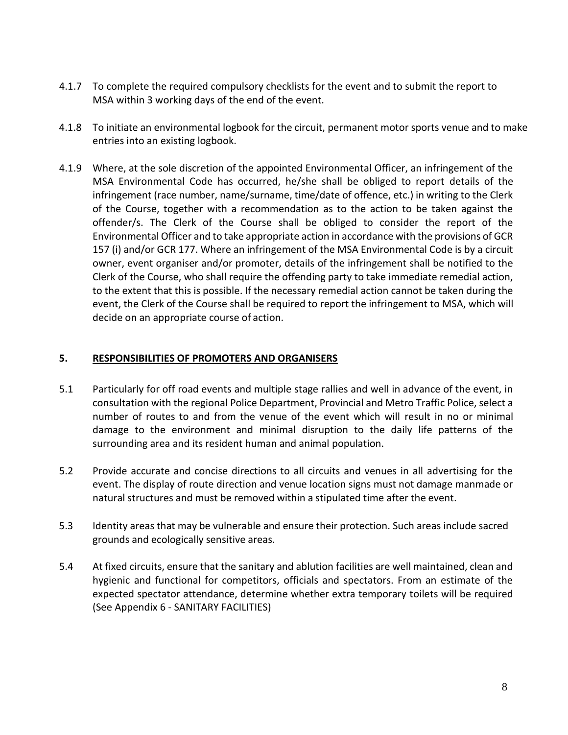- 4.1.7 To complete the required compulsory checklists for the event and to submit the report to MSA within 3 working days of the end of the event.
- 4.1.8 To initiate an environmental logbook for the circuit, permanent motor sports venue and to make entries into an existing logbook.
- 4.1.9 Where, at the sole discretion of the appointed Environmental Officer, an infringement of the MSA Environmental Code has occurred, he/she shall be obliged to report details of the infringement (race number, name/surname, time/date of offence, etc.) in writing to the Clerk of the Course, together with a recommendation as to the action to be taken against the offender/s. The Clerk of the Course shall be obliged to consider the report of the Environmental Officer and to take appropriate action in accordance with the provisions of GCR 157 (i) and/or GCR 177. Where an infringement of the MSA Environmental Code is by a circuit owner, event organiser and/or promoter, details of the infringement shall be notified to the Clerk of the Course, who shall require the offending party to take immediate remedial action, to the extent that this is possible. If the necessary remedial action cannot be taken during the event, the Clerk of the Course shall be required to report the infringement to MSA, which will decide on an appropriate course of action.

# **5. RESPONSIBILITIES OF PROMOTERS AND ORGANISERS**

- 5.1 Particularly for off road events and multiple stage rallies and well in advance of the event, in consultation with the regional Police Department, Provincial and Metro Traffic Police, select a number of routes to and from the venue of the event which will result in no or minimal damage to the environment and minimal disruption to the daily life patterns of the surrounding area and its resident human and animal population.
- 5.2 Provide accurate and concise directions to all circuits and venues in all advertising for the event. The display of route direction and venue location signs must not damage manmade or natural structures and must be removed within a stipulated time after the event.
- 5.3 Identity areas that may be vulnerable and ensure their protection. Such areas include sacred grounds and ecologically sensitive areas.
- 5.4 At fixed circuits, ensure that the sanitary and ablution facilities are well maintained, clean and hygienic and functional for competitors, officials and spectators. From an estimate of the expected spectator attendance, determine whether extra temporary toilets will be required (See Appendix 6 - SANITARY FACILITIES)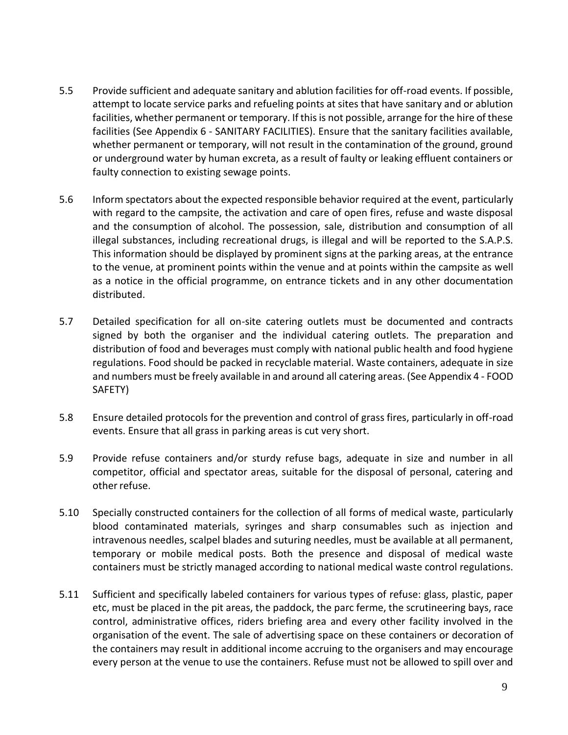- 5.5 Provide sufficient and adequate sanitary and ablution facilities for off-road events. If possible, attempt to locate service parks and refueling points at sites that have sanitary and or ablution facilities, whether permanent or temporary. If this is not possible, arrange for the hire of these facilities (See Appendix 6 - SANITARY FACILITIES). Ensure that the sanitary facilities available, whether permanent or temporary, will not result in the contamination of the ground, ground or underground water by human excreta, as a result of faulty or leaking effluent containers or faulty connection to existing sewage points.
- 5.6 Inform spectators about the expected responsible behavior required at the event, particularly with regard to the campsite, the activation and care of open fires, refuse and waste disposal and the consumption of alcohol. The possession, sale, distribution and consumption of all illegal substances, including recreational drugs, is illegal and will be reported to the S.A.P.S. This information should be displayed by prominent signs at the parking areas, at the entrance to the venue, at prominent points within the venue and at points within the campsite as well as a notice in the official programme, on entrance tickets and in any other documentation distributed.
- 5.7 Detailed specification for all on-site catering outlets must be documented and contracts signed by both the organiser and the individual catering outlets. The preparation and distribution of food and beverages must comply with national public health and food hygiene regulations. Food should be packed in recyclable material. Waste containers, adequate in size and numbers must be freely available in and around all catering areas. (See Appendix 4 - FOOD SAFETY)
- 5.8 Ensure detailed protocols for the prevention and control of grass fires, particularly in off-road events. Ensure that all grass in parking areas is cut very short.
- 5.9 Provide refuse containers and/or sturdy refuse bags, adequate in size and number in all competitor, official and spectator areas, suitable for the disposal of personal, catering and other refuse.
- 5.10 Specially constructed containers for the collection of all forms of medical waste, particularly blood contaminated materials, syringes and sharp consumables such as injection and intravenous needles, scalpel blades and suturing needles, must be available at all permanent, temporary or mobile medical posts. Both the presence and disposal of medical waste containers must be strictly managed according to national medical waste control regulations.
- 5.11 Sufficient and specifically labeled containers for various types of refuse: glass, plastic, paper etc, must be placed in the pit areas, the paddock, the parc ferme, the scrutineering bays, race control, administrative offices, riders briefing area and every other facility involved in the organisation of the event. The sale of advertising space on these containers or decoration of the containers may result in additional income accruing to the organisers and may encourage every person at the venue to use the containers. Refuse must not be allowed to spill over and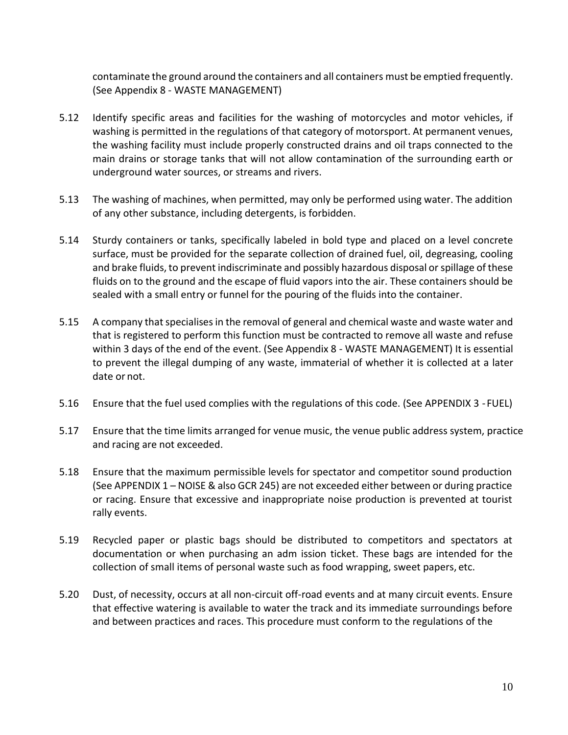contaminate the ground around the containers and all containers must be emptied frequently. (See Appendix 8 - WASTE MANAGEMENT)

- 5.12 Identify specific areas and facilities for the washing of motorcycles and motor vehicles, if washing is permitted in the regulations of that category of motorsport. At permanent venues, the washing facility must include properly constructed drains and oil traps connected to the main drains or storage tanks that will not allow contamination of the surrounding earth or underground water sources, or streams and rivers.
- 5.13 The washing of machines, when permitted, may only be performed using water. The addition of any other substance, including detergents, is forbidden.
- 5.14 Sturdy containers or tanks, specifically labeled in bold type and placed on a level concrete surface, must be provided for the separate collection of drained fuel, oil, degreasing, cooling and brake fluids, to prevent indiscriminate and possibly hazardous disposal or spillage of these fluids on to the ground and the escape of fluid vapors into the air. These containers should be sealed with a small entry or funnel for the pouring of the fluids into the container.
- 5.15 A company that specialises in the removal of general and chemical waste and waste water and that is registered to perform this function must be contracted to remove all waste and refuse within 3 days of the end of the event. (See Appendix 8 - WASTE MANAGEMENT) It is essential to prevent the illegal dumping of any waste, immaterial of whether it is collected at a later date or not.
- 5.16 Ensure that the fuel used complies with the regulations of this code. (See APPENDIX 3 -FUEL)
- 5.17 Ensure that the time limits arranged for venue music, the venue public address system, practice and racing are not exceeded.
- 5.18 Ensure that the maximum permissible levels for spectator and competitor sound production (See APPENDIX 1 – NOISE & also GCR 245) are not exceeded either between or during practice or racing. Ensure that excessive and inappropriate noise production is prevented at tourist rally events.
- 5.19 Recycled paper or plastic bags should be distributed to competitors and spectators at documentation or when purchasing an adm ission ticket. These bags are intended for the collection of small items of personal waste such as food wrapping, sweet papers, etc.
- 5.20 Dust, of necessity, occurs at all non-circuit off-road events and at many circuit events. Ensure that effective watering is available to water the track and its immediate surroundings before and between practices and races. This procedure must conform to the regulations of the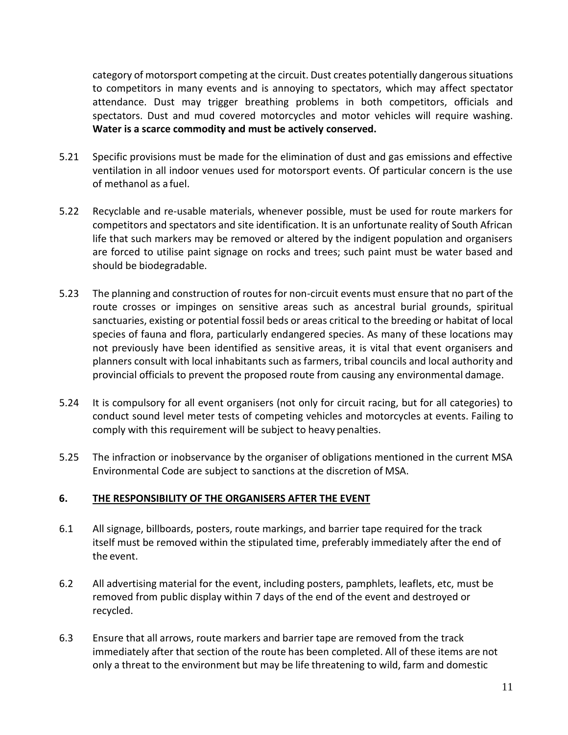category of motorsport competing at the circuit. Dust creates potentially dangerous situations to competitors in many events and is annoying to spectators, which may affect spectator attendance. Dust may trigger breathing problems in both competitors, officials and spectators. Dust and mud covered motorcycles and motor vehicles will require washing. **Water is a scarce commodity and must be actively conserved.**

- 5.21 Specific provisions must be made for the elimination of dust and gas emissions and effective ventilation in all indoor venues used for motorsport events. Of particular concern is the use of methanol as a fuel.
- 5.22 Recyclable and re-usable materials, whenever possible, must be used for route markers for competitors and spectators and site identification. It is an unfortunate reality of South African life that such markers may be removed or altered by the indigent population and organisers are forced to utilise paint signage on rocks and trees; such paint must be water based and should be biodegradable.
- 5.23 The planning and construction of routes for non-circuit events must ensure that no part of the route crosses or impinges on sensitive areas such as ancestral burial grounds, spiritual sanctuaries, existing or potential fossil beds or areas critical to the breeding or habitat of local species of fauna and flora, particularly endangered species. As many of these locations may not previously have been identified as sensitive areas, it is vital that event organisers and planners consult with local inhabitants such as farmers, tribal councils and local authority and provincial officials to prevent the proposed route from causing any environmental damage.
- 5.24 It is compulsory for all event organisers (not only for circuit racing, but for all categories) to conduct sound level meter tests of competing vehicles and motorcycles at events. Failing to comply with this requirement will be subject to heavy penalties.
- 5.25 The infraction or inobservance by the organiser of obligations mentioned in the current MSA Environmental Code are subject to sanctions at the discretion of MSA.

# **6. THE RESPONSIBILITY OF THE ORGANISERS AFTER THE EVENT**

- 6.1 All signage, billboards, posters, route markings, and barrier tape required for the track itself must be removed within the stipulated time, preferably immediately after the end of the event.
- 6.2 All advertising material for the event, including posters, pamphlets, leaflets, etc, must be removed from public display within 7 days of the end of the event and destroyed or recycled.
- 6.3 Ensure that all arrows, route markers and barrier tape are removed from the track immediately after that section of the route has been completed. All of these items are not only a threat to the environment but may be life threatening to wild, farm and domestic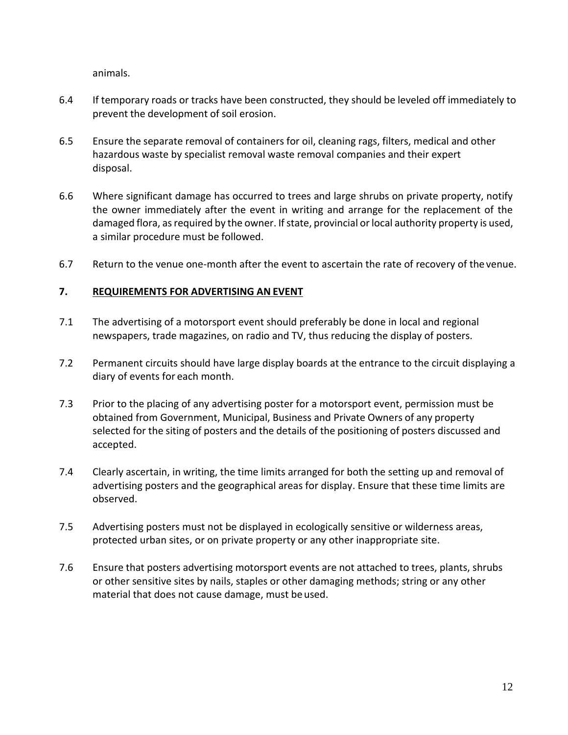animals.

- 6.4 If temporary roads or tracks have been constructed, they should be leveled off immediately to prevent the development of soil erosion.
- 6.5 Ensure the separate removal of containers for oil, cleaning rags, filters, medical and other hazardous waste by specialist removal waste removal companies and their expert disposal.
- 6.6 Where significant damage has occurred to trees and large shrubs on private property, notify the owner immediately after the event in writing and arrange for the replacement of the damaged flora, as required by the owner. If state, provincial or local authority property is used, a similar procedure must be followed.
- 6.7 Return to the venue one-month after the event to ascertain the rate of recovery of the venue.

# **7. REQUIREMENTS FOR ADVERTISING AN EVENT**

- 7.1 The advertising of a motorsport event should preferably be done in local and regional newspapers, trade magazines, on radio and TV, thus reducing the display of posters.
- 7.2 Permanent circuits should have large display boards at the entrance to the circuit displaying a diary of events for each month.
- 7.3 Prior to the placing of any advertising poster for a motorsport event, permission must be obtained from Government, Municipal, Business and Private Owners of any property selected for the siting of posters and the details of the positioning of posters discussed and accepted.
- 7.4 Clearly ascertain, in writing, the time limits arranged for both the setting up and removal of advertising posters and the geographical areas for display. Ensure that these time limits are observed.
- 7.5 Advertising posters must not be displayed in ecologically sensitive or wilderness areas, protected urban sites, or on private property or any other inappropriate site.
- 7.6 Ensure that posters advertising motorsport events are not attached to trees, plants, shrubs or other sensitive sites by nails, staples or other damaging methods; string or any other material that does not cause damage, must be used.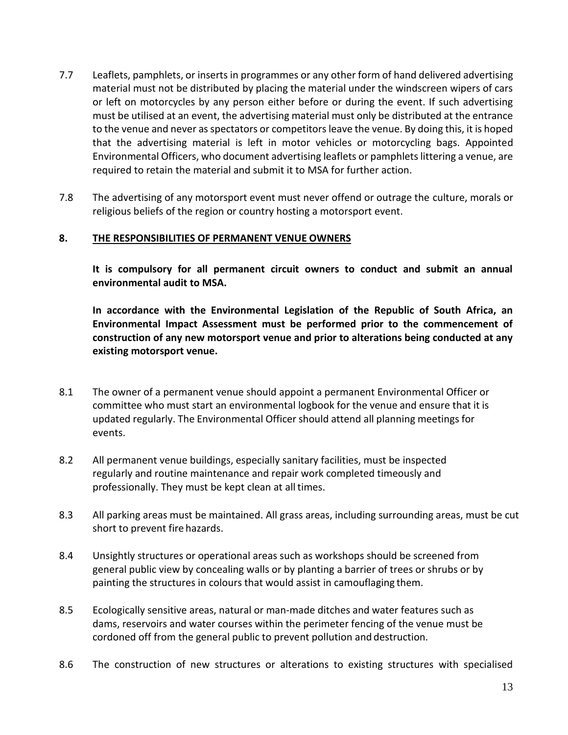- 7.7 Leaflets, pamphlets, or inserts in programmes or any other form of hand delivered advertising material must not be distributed by placing the material under the windscreen wipers of cars or left on motorcycles by any person either before or during the event. If such advertising must be utilised at an event, the advertising material must only be distributed at the entrance to the venue and never as spectators or competitors leave the venue. By doing this, it is hoped that the advertising material is left in motor vehicles or motorcycling bags. Appointed Environmental Officers, who document advertising leaflets or pamphlets littering a venue, are required to retain the material and submit it to MSA for further action.
- 7.8 The advertising of any motorsport event must never offend or outrage the culture, morals or religious beliefs of the region or country hosting a motorsport event.

# **8. THE RESPONSIBILITIES OF PERMANENT VENUE OWNERS**

**It is compulsory for all permanent circuit owners to conduct and submit an annual environmental audit to MSA.**

**In accordance with the Environmental Legislation of the Republic of South Africa, an Environmental Impact Assessment must be performed prior to the commencement of construction of any new motorsport venue and prior to alterations being conducted at any existing motorsport venue.**

- 8.1 The owner of a permanent venue should appoint a permanent Environmental Officer or committee who must start an environmental logbook for the venue and ensure that it is updated regularly. The Environmental Officer should attend all planning meetings for events.
- 8.2 All permanent venue buildings, especially sanitary facilities, must be inspected regularly and routine maintenance and repair work completed timeously and professionally. They must be kept clean at all times.
- 8.3 All parking areas must be maintained. All grass areas, including surrounding areas, must be cut short to prevent fire hazards.
- 8.4 Unsightly structures or operational areas such as workshops should be screened from general public view by concealing walls or by planting a barrier of trees or shrubs or by painting the structures in colours that would assist in camouflaging them.
- 8.5 Ecologically sensitive areas, natural or man-made ditches and water features such as dams, reservoirs and water courses within the perimeter fencing of the venue must be cordoned off from the general public to prevent pollution and destruction.
- 8.6 The construction of new structures or alterations to existing structures with specialised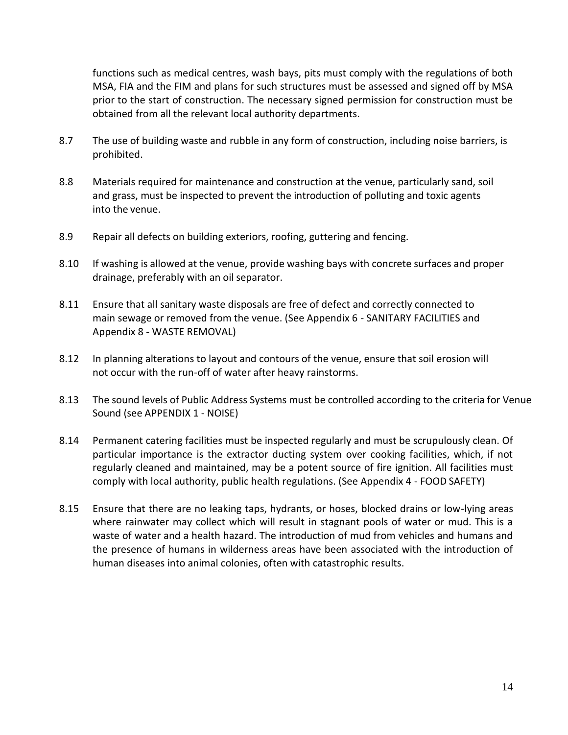functions such as medical centres, wash bays, pits must comply with the regulations of both MSA, FIA and the FIM and plans for such structures must be assessed and signed off by MSA prior to the start of construction. The necessary signed permission for construction must be obtained from all the relevant local authority departments.

- 8.7 The use of building waste and rubble in any form of construction, including noise barriers, is prohibited.
- 8.8 Materials required for maintenance and construction at the venue, particularly sand, soil and grass, must be inspected to prevent the introduction of polluting and toxic agents into the venue.
- 8.9 Repair all defects on building exteriors, roofing, guttering and fencing.
- 8.10 If washing is allowed at the venue, provide washing bays with concrete surfaces and proper drainage, preferably with an oil separator.
- 8.11 Ensure that all sanitary waste disposals are free of defect and correctly connected to main sewage or removed from the venue. (See Appendix 6 - SANITARY FACILITIES and Appendix 8 - WASTE REMOVAL)
- 8.12 In planning alterations to layout and contours of the venue, ensure that soil erosion will not occur with the run-off of water after heavy rainstorms.
- 8.13 The sound levels of Public Address Systems must be controlled according to the criteria for Venue Sound (see APPENDIX 1 - NOISE)
- 8.14 Permanent catering facilities must be inspected regularly and must be scrupulously clean. Of particular importance is the extractor ducting system over cooking facilities, which, if not regularly cleaned and maintained, may be a potent source of fire ignition. All facilities must comply with local authority, public health regulations. (See Appendix 4 - FOOD SAFETY)
- 8.15 Ensure that there are no leaking taps, hydrants, or hoses, blocked drains or low-lying areas where rainwater may collect which will result in stagnant pools of water or mud. This is a waste of water and a health hazard. The introduction of mud from vehicles and humans and the presence of humans in wilderness areas have been associated with the introduction of human diseases into animal colonies, often with catastrophic results.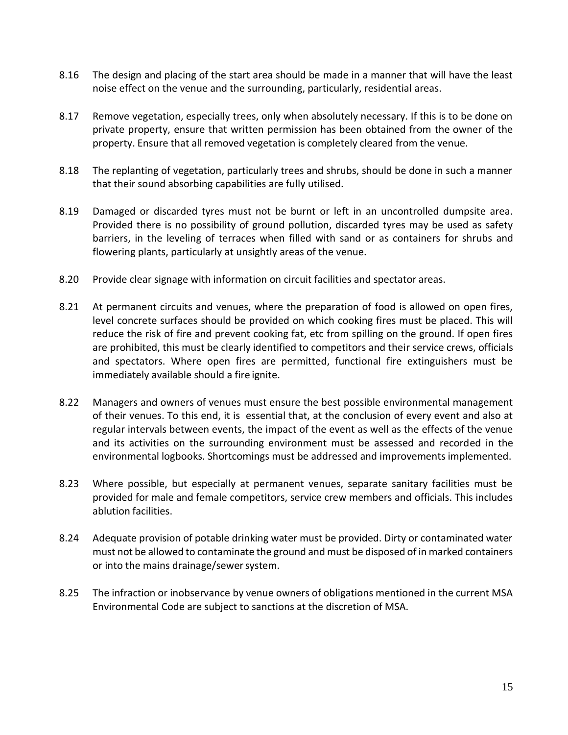- 8.16 The design and placing of the start area should be made in a manner that will have the least noise effect on the venue and the surrounding, particularly, residential areas.
- 8.17 Remove vegetation, especially trees, only when absolutely necessary. If this is to be done on private property, ensure that written permission has been obtained from the owner of the property. Ensure that all removed vegetation is completely cleared from the venue.
- 8.18 The replanting of vegetation, particularly trees and shrubs, should be done in such a manner that their sound absorbing capabilities are fully utilised.
- 8.19 Damaged or discarded tyres must not be burnt or left in an uncontrolled dumpsite area. Provided there is no possibility of ground pollution, discarded tyres may be used as safety barriers, in the leveling of terraces when filled with sand or as containers for shrubs and flowering plants, particularly at unsightly areas of the venue.
- 8.20 Provide clear signage with information on circuit facilities and spectator areas.
- 8.21 At permanent circuits and venues, where the preparation of food is allowed on open fires, level concrete surfaces should be provided on which cooking fires must be placed. This will reduce the risk of fire and prevent cooking fat, etc from spilling on the ground. If open fires are prohibited, this must be clearly identified to competitors and their service crews, officials and spectators. Where open fires are permitted, functional fire extinguishers must be immediately available should a fire ignite.
- 8.22 Managers and owners of venues must ensure the best possible environmental management of their venues. To this end, it is essential that, at the conclusion of every event and also at regular intervals between events, the impact of the event as well as the effects of the venue and its activities on the surrounding environment must be assessed and recorded in the environmental logbooks. Shortcomings must be addressed and improvements implemented.
- 8.23 Where possible, but especially at permanent venues, separate sanitary facilities must be provided for male and female competitors, service crew members and officials. This includes ablution facilities.
- 8.24 Adequate provision of potable drinking water must be provided. Dirty or contaminated water must not be allowed to contaminate the ground and must be disposed of in marked containers or into the mains drainage/sewer system.
- 8.25 The infraction or inobservance by venue owners of obligations mentioned in the current MSA Environmental Code are subject to sanctions at the discretion of MSA.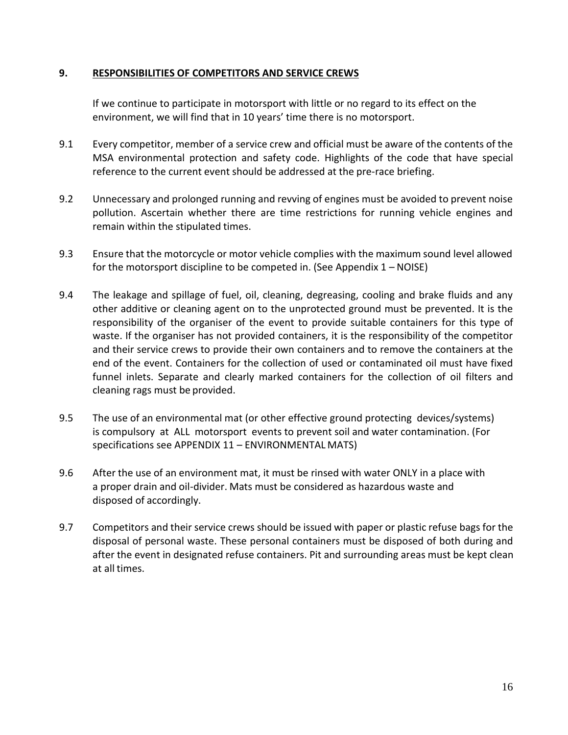#### **9. RESPONSIBILITIES OF COMPETITORS AND SERVICE CREWS**

If we continue to participate in motorsport with little or no regard to its effect on the environment, we will find that in 10 years' time there is no motorsport.

- 9.1 Every competitor, member of a service crew and official must be aware of the contents of the MSA environmental protection and safety code. Highlights of the code that have special reference to the current event should be addressed at the pre-race briefing.
- 9.2 Unnecessary and prolonged running and revving of engines must be avoided to prevent noise pollution. Ascertain whether there are time restrictions for running vehicle engines and remain within the stipulated times.
- 9.3 Ensure that the motorcycle or motor vehicle complies with the maximum sound level allowed for the motorsport discipline to be competed in. (See Appendix 1 – NOISE)
- 9.4 The leakage and spillage of fuel, oil, cleaning, degreasing, cooling and brake fluids and any other additive or cleaning agent on to the unprotected ground must be prevented. It is the responsibility of the organiser of the event to provide suitable containers for this type of waste. If the organiser has not provided containers, it is the responsibility of the competitor and their service crews to provide their own containers and to remove the containers at the end of the event. Containers for the collection of used or contaminated oil must have fixed funnel inlets. Separate and clearly marked containers for the collection of oil filters and cleaning rags must be provided.
- 9.5 The use of an environmental mat (or other effective ground protecting devices/systems) is compulsory at ALL motorsport events to prevent soil and water contamination. (For specifications see APPENDIX 11 – ENVIRONMENTAL MATS)
- 9.6 After the use of an environment mat, it must be rinsed with water ONLY in a place with a proper drain and oil-divider. Mats must be considered as hazardous waste and disposed of accordingly.
- 9.7 Competitors and their service crews should be issued with paper or plastic refuse bags for the disposal of personal waste. These personal containers must be disposed of both during and after the event in designated refuse containers. Pit and surrounding areas must be kept clean at all times.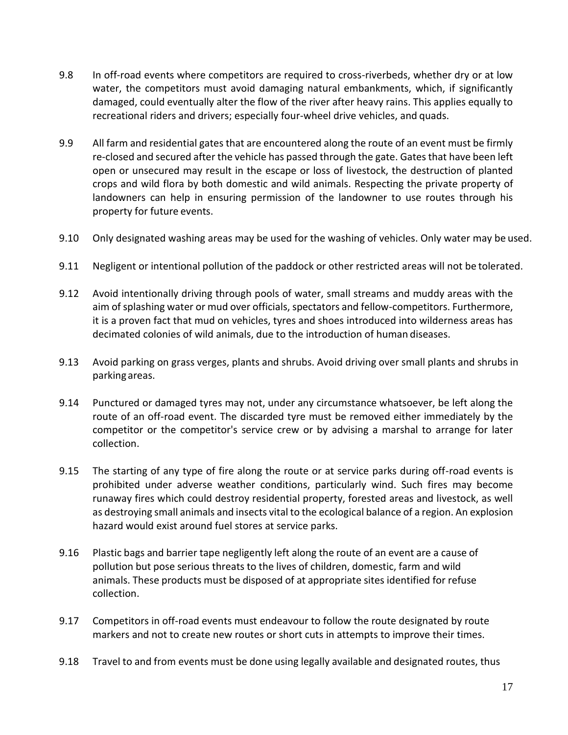- 9.8 In off-road events where competitors are required to cross-riverbeds, whether dry or at low water, the competitors must avoid damaging natural embankments, which, if significantly damaged, could eventually alter the flow of the river after heavy rains. This applies equally to recreational riders and drivers; especially four-wheel drive vehicles, and quads.
- 9.9 All farm and residential gates that are encountered along the route of an event must be firmly re-closed and secured after the vehicle has passed through the gate. Gates that have been left open or unsecured may result in the escape or loss of livestock, the destruction of planted crops and wild flora by both domestic and wild animals. Respecting the private property of landowners can help in ensuring permission of the landowner to use routes through his property for future events.
- 9.10 Only designated washing areas may be used for the washing of vehicles. Only water may be used.
- 9.11 Negligent or intentional pollution of the paddock or other restricted areas will not be tolerated.
- 9.12 Avoid intentionally driving through pools of water, small streams and muddy areas with the aim of splashing water or mud over officials, spectators and fellow-competitors. Furthermore, it is a proven fact that mud on vehicles, tyres and shoes introduced into wilderness areas has decimated colonies of wild animals, due to the introduction of human diseases.
- 9.13 Avoid parking on grass verges, plants and shrubs. Avoid driving over small plants and shrubs in parking areas.
- 9.14 Punctured or damaged tyres may not, under any circumstance whatsoever, be left along the route of an off-road event. The discarded tyre must be removed either immediately by the competitor or the competitor's service crew or by advising a marshal to arrange for later collection.
- 9.15 The starting of any type of fire along the route or at service parks during off-road events is prohibited under adverse weather conditions, particularly wind. Such fires may become runaway fires which could destroy residential property, forested areas and livestock, as well as destroying small animals and insects vital to the ecological balance of a region. An explosion hazard would exist around fuel stores at service parks.
- 9.16 Plastic bags and barrier tape negligently left along the route of an event are a cause of pollution but pose serious threats to the lives of children, domestic, farm and wild animals. These products must be disposed of at appropriate sites identified for refuse collection.
- 9.17 Competitors in off-road events must endeavour to follow the route designated by route markers and not to create new routes or short cuts in attempts to improve their times.
- 9.18 Travel to and from events must be done using legally available and designated routes, thus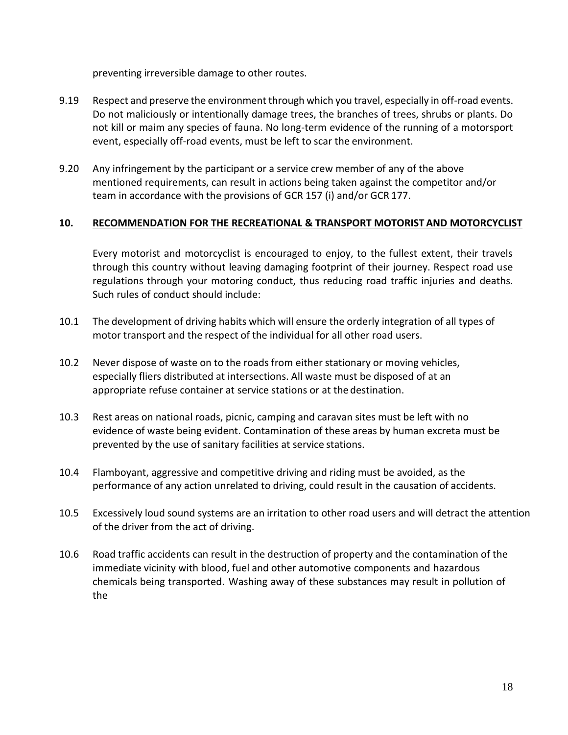preventing irreversible damage to other routes.

- 9.19 Respect and preserve the environment through which you travel, especially in off-road events. Do not maliciously or intentionally damage trees, the branches of trees, shrubs or plants. Do not kill or maim any species of fauna. No long-term evidence of the running of a motorsport event, especially off-road events, must be left to scar the environment.
- 9.20 Any infringement by the participant or a service crew member of any of the above mentioned requirements, can result in actions being taken against the competitor and/or team in accordance with the provisions of GCR 157 (i) and/or GCR 177.

# **10. RECOMMENDATION FOR THE RECREATIONAL & TRANSPORT MOTORIST AND MOTORCYCLIST**

Every motorist and motorcyclist is encouraged to enjoy, to the fullest extent, their travels through this country without leaving damaging footprint of their journey. Respect road use regulations through your motoring conduct, thus reducing road traffic injuries and deaths. Such rules of conduct should include:

- 10.1 The development of driving habits which will ensure the orderly integration of all types of motor transport and the respect of the individual for all other road users.
- 10.2 Never dispose of waste on to the roads from either stationary or moving vehicles, especially fliers distributed at intersections. All waste must be disposed of at an appropriate refuse container at service stations or at the destination.
- 10.3 Rest areas on national roads, picnic, camping and caravan sites must be left with no evidence of waste being evident. Contamination of these areas by human excreta must be prevented by the use of sanitary facilities at service stations.
- 10.4 Flamboyant, aggressive and competitive driving and riding must be avoided, as the performance of any action unrelated to driving, could result in the causation of accidents.
- 10.5 Excessively loud sound systems are an irritation to other road users and will detract the attention of the driver from the act of driving.
- 10.6 Road traffic accidents can result in the destruction of property and the contamination of the immediate vicinity with blood, fuel and other automotive components and hazardous chemicals being transported. Washing away of these substances may result in pollution of the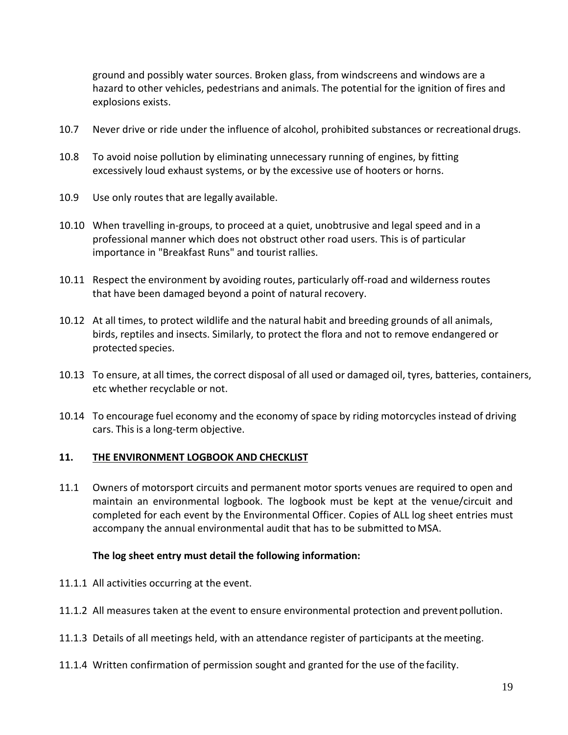ground and possibly water sources. Broken glass, from windscreens and windows are a hazard to other vehicles, pedestrians and animals. The potential for the ignition of fires and explosions exists.

- 10.7 Never drive or ride under the influence of alcohol, prohibited substances or recreational drugs.
- 10.8 To avoid noise pollution by eliminating unnecessary running of engines, by fitting excessively loud exhaust systems, or by the excessive use of hooters or horns.
- 10.9 Use only routes that are legally available.
- 10.10 When travelling in-groups, to proceed at a quiet, unobtrusive and legal speed and in a professional manner which does not obstruct other road users. This is of particular importance in "Breakfast Runs" and tourist rallies.
- 10.11 Respect the environment by avoiding routes, particularly off-road and wilderness routes that have been damaged beyond a point of natural recovery.
- 10.12 At all times, to protect wildlife and the natural habit and breeding grounds of all animals, birds, reptiles and insects. Similarly, to protect the flora and not to remove endangered or protected species.
- 10.13 To ensure, at all times, the correct disposal of all used or damaged oil, tyres, batteries, containers, etc whether recyclable or not.
- 10.14 To encourage fuel economy and the economy of space by riding motorcycles instead of driving cars. This is a long-term objective.

#### **11. THE ENVIRONMENT LOGBOOK AND CHECKLIST**

11.1 Owners of motorsport circuits and permanent motor sports venues are required to open and maintain an environmental logbook. The logbook must be kept at the venue/circuit and completed for each event by the Environmental Officer. Copies of ALL log sheet entries must accompany the annual environmental audit that has to be submitted to MSA.

#### **The log sheet entry must detail the following information:**

- 11.1.1 All activities occurring at the event.
- 11.1.2 All measures taken at the event to ensure environmental protection and preventpollution.
- 11.1.3 Details of all meetings held, with an attendance register of participants at the meeting.
- 11.1.4 Written confirmation of permission sought and granted for the use of the facility.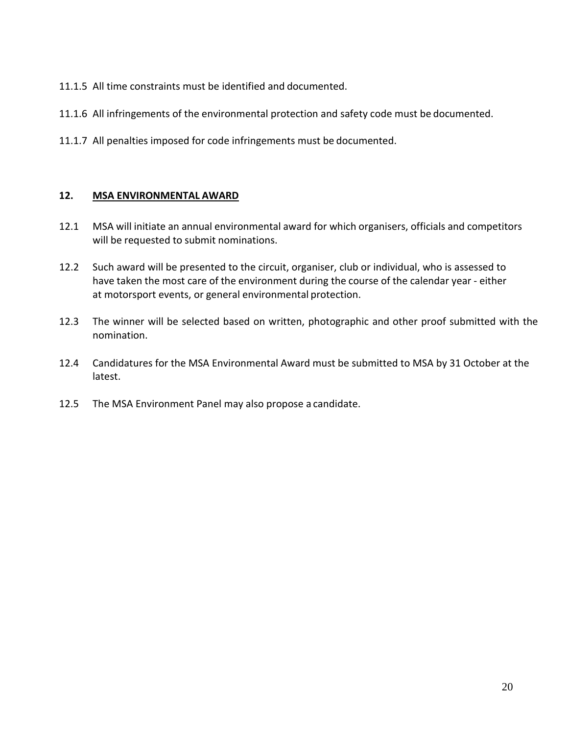- 11.1.5 All time constraints must be identified and documented.
- 11.1.6 All infringements of the environmental protection and safety code must be documented.
- 11.1.7 All penalties imposed for code infringements must be documented.

#### **12. MSA ENVIRONMENTAL AWARD**

- 12.1 MSA will initiate an annual environmental award for which organisers, officials and competitors will be requested to submit nominations.
- 12.2 Such award will be presented to the circuit, organiser, club or individual, who is assessed to have taken the most care of the environment during the course of the calendar year - either at motorsport events, or general environmental protection.
- 12.3 The winner will be selected based on written, photographic and other proof submitted with the nomination.
- 12.4 Candidatures for the MSA Environmental Award must be submitted to MSA by 31 October at the latest.
- 12.5 The MSA Environment Panel may also propose a candidate.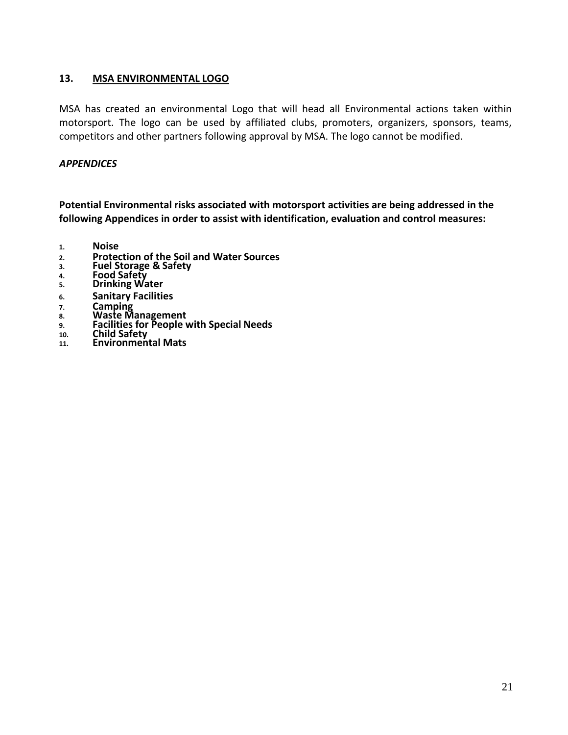# **13. MSA ENVIRONMENTAL LOGO**

MSA has created an environmental Logo that will head all Environmental actions taken within motorsport. The logo can be used by affiliated clubs, promoters, organizers, sponsors, teams, competitors and other partners following approval by MSA. The logo cannot be modified.

# *APPENDICES*

**Potential Environmental risks associated with motorsport activities are being addressed in the following Appendices in order to assist with identification, evaluation and control measures:**

- **1. Noise**
- **2. Protection of the Soil and Water Sources**
- **3. Fuel Storage & Safety**
- **4. Food Safety**
- **5. Drinking Water**
- **6. Sanitary Facilities**
- **7. Camping**
- **8. Waste Management**
- **9. Facilities for People with Special Needs**
- **10. Child Safety**
- **11. Environmental Mats**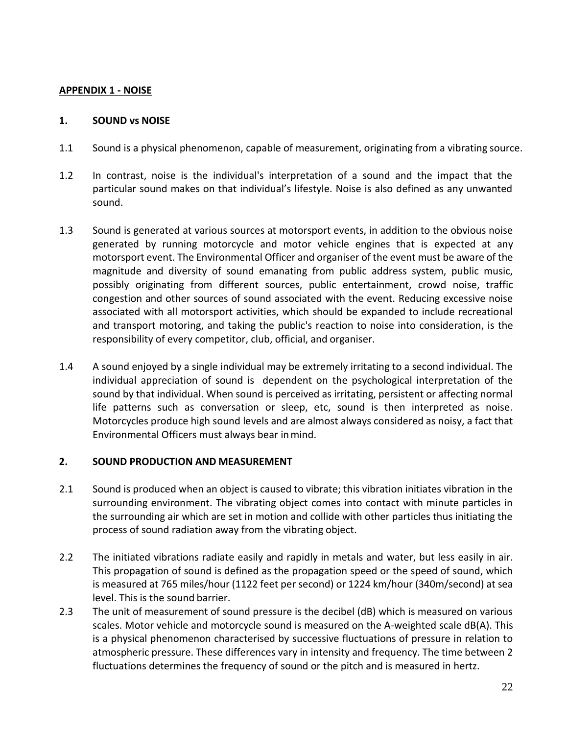#### **APPENDIX 1 - NOISE**

#### **1. SOUND vs NOISE**

- 1.1 Sound is a physical phenomenon, capable of measurement, originating from a vibrating source.
- 1.2 In contrast, noise is the individual's interpretation of a sound and the impact that the particular sound makes on that individual's lifestyle. Noise is also defined as any unwanted sound.
- 1.3 Sound is generated at various sources at motorsport events, in addition to the obvious noise generated by running motorcycle and motor vehicle engines that is expected at any motorsport event. The Environmental Officer and organiser of the event must be aware of the magnitude and diversity of sound emanating from public address system, public music, possibly originating from different sources, public entertainment, crowd noise, traffic congestion and other sources of sound associated with the event. Reducing excessive noise associated with all motorsport activities, which should be expanded to include recreational and transport motoring, and taking the public's reaction to noise into consideration, is the responsibility of every competitor, club, official, and organiser.
- 1.4 A sound enjoyed by a single individual may be extremely irritating to a second individual. The individual appreciation of sound is dependent on the psychological interpretation of the sound by that individual. When sound is perceived as irritating, persistent or affecting normal life patterns such as conversation or sleep, etc, sound is then interpreted as noise. Motorcycles produce high sound levels and are almost always considered as noisy, a fact that Environmental Officers must always bear inmind.

#### **2. SOUND PRODUCTION AND MEASUREMENT**

- 2.1 Sound is produced when an object is caused to vibrate; this vibration initiates vibration in the surrounding environment. The vibrating object comes into contact with minute particles in the surrounding air which are set in motion and collide with other particles thus initiating the process of sound radiation away from the vibrating object.
- 2.2 The initiated vibrations radiate easily and rapidly in metals and water, but less easily in air. This propagation of sound is defined as the propagation speed or the speed of sound, which is measured at 765 miles/hour (1122 feet per second) or 1224 km/hour (340m/second) at sea level. This is the sound barrier.
- 2.3 The unit of measurement of sound pressure is the decibel (dB) which is measured on various scales. Motor vehicle and motorcycle sound is measured on the A-weighted scale dB(A). This is a physical phenomenon characterised by successive fluctuations of pressure in relation to atmospheric pressure. These differences vary in intensity and frequency. The time between 2 fluctuations determines the frequency of sound or the pitch and is measured in hertz.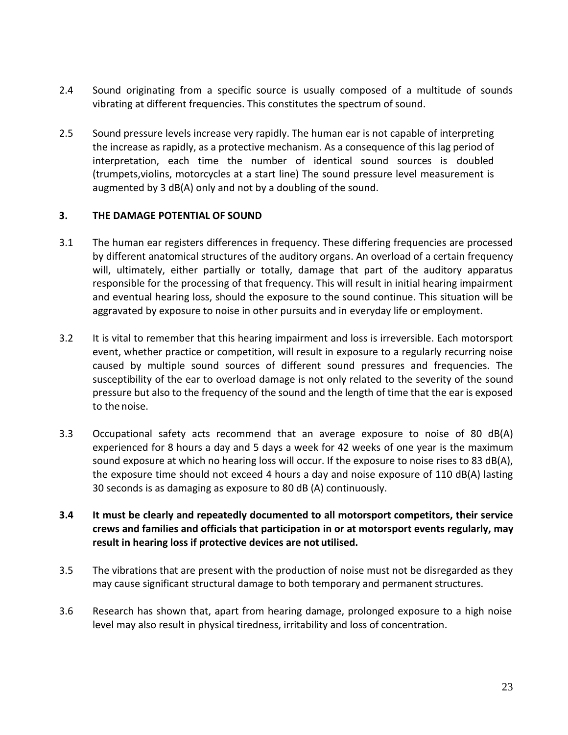- 2.4 Sound originating from a specific source is usually composed of a multitude of sounds vibrating at different frequencies. This constitutes the spectrum of sound.
- 2.5 Sound pressure levels increase very rapidly. The human ear is not capable of interpreting the increase as rapidly, as a protective mechanism. As a consequence of this lag period of interpretation, each time the number of identical sound sources is doubled (trumpets,violins, motorcycles at a start line) The sound pressure level measurement is augmented by 3 dB(A) only and not by a doubling of the sound.

#### **3. THE DAMAGE POTENTIAL OF SOUND**

- 3.1 The human ear registers differences in frequency. These differing frequencies are processed by different anatomical structures of the auditory organs. An overload of a certain frequency will, ultimately, either partially or totally, damage that part of the auditory apparatus responsible for the processing of that frequency. This will result in initial hearing impairment and eventual hearing loss, should the exposure to the sound continue. This situation will be aggravated by exposure to noise in other pursuits and in everyday life or employment.
- 3.2 It is vital to remember that this hearing impairment and loss is irreversible. Each motorsport event, whether practice or competition, will result in exposure to a regularly recurring noise caused by multiple sound sources of different sound pressures and frequencies. The susceptibility of the ear to overload damage is not only related to the severity of the sound pressure but also to the frequency of the sound and the length of time that the ear is exposed to the noise.
- 3.3 Occupational safety acts recommend that an average exposure to noise of 80 dB(A) experienced for 8 hours a day and 5 days a week for 42 weeks of one year is the maximum sound exposure at which no hearing loss will occur. If the exposure to noise rises to 83 dB(A), the exposure time should not exceed 4 hours a day and noise exposure of 110 dB(A) lasting 30 seconds is as damaging as exposure to 80 dB (A) continuously.
- **3.4 It must be clearly and repeatedly documented to all motorsport competitors, their service crews and families and officials that participation in or at motorsport events regularly, may result in hearing loss if protective devices are not utilised.**
- 3.5 The vibrations that are present with the production of noise must not be disregarded as they may cause significant structural damage to both temporary and permanent structures.
- 3.6 Research has shown that, apart from hearing damage, prolonged exposure to a high noise level may also result in physical tiredness, irritability and loss of concentration.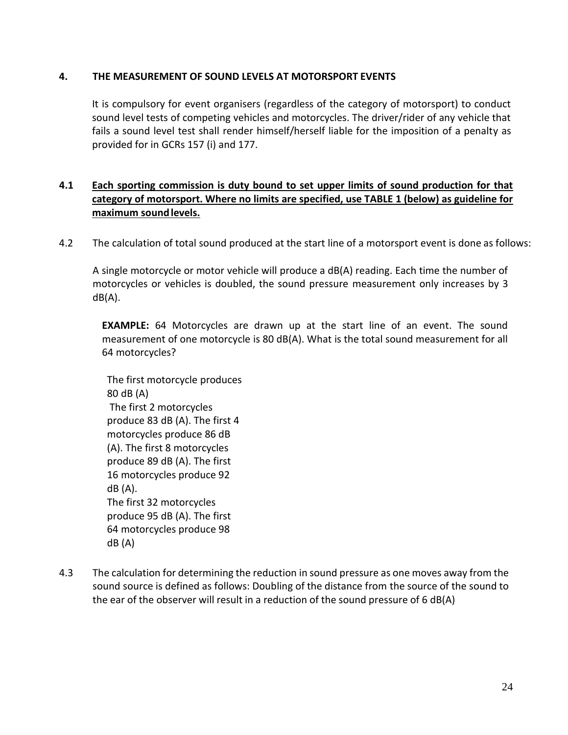# **4. THE MEASUREMENT OF SOUND LEVELS AT MOTORSPORT EVENTS**

It is compulsory for event organisers (regardless of the category of motorsport) to conduct sound level tests of competing vehicles and motorcycles. The driver/rider of any vehicle that fails a sound level test shall render himself/herself liable for the imposition of a penalty as provided for in GCRs 157 (i) and 177.

# **4.1 Each sporting commission is duty bound to set upper limits of sound production for that category of motorsport. Where no limits are specified, use TABLE 1 (below) as guideline for maximum soundlevels.**

4.2 The calculation of total sound produced at the start line of a motorsport event is done as follows:

A single motorcycle or motor vehicle will produce a dB(A) reading. Each time the number of motorcycles or vehicles is doubled, the sound pressure measurement only increases by 3 dB(A).

**EXAMPLE:** 64 Motorcycles are drawn up at the start line of an event. The sound measurement of one motorcycle is 80 dB(A). What is the total sound measurement for all 64 motorcycles?

The first motorcycle produces 80 dB (A) The first 2 motorcycles produce 83 dB (A). The first 4 motorcycles produce 86 dB (A). The first 8 motorcycles produce 89 dB (A). The first 16 motorcycles produce 92 dB (A). The first 32 motorcycles produce 95 dB (A). The first 64 motorcycles produce 98 dB (A)

4.3 The calculation for determining the reduction in sound pressure as one moves away from the sound source is defined as follows: Doubling of the distance from the source of the sound to the ear of the observer will result in a reduction of the sound pressure of 6 dB(A)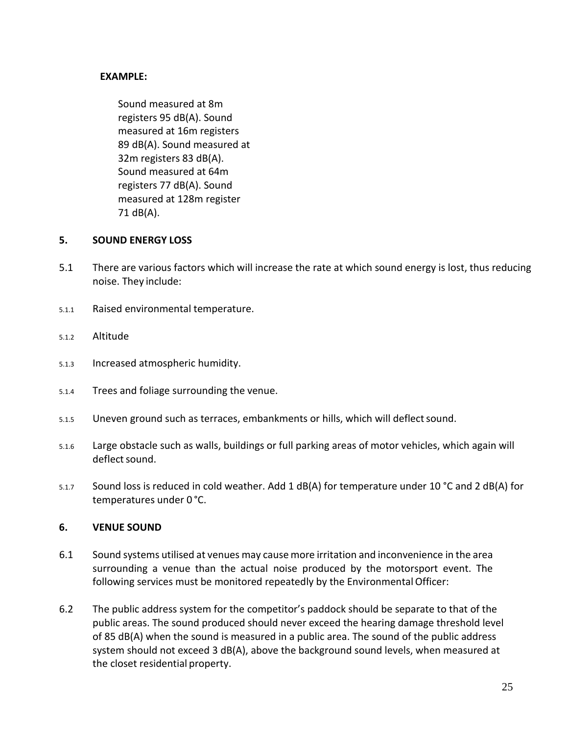# **EXAMPLE:**

Sound measured at 8m registers 95 dB(A). Sound measured at 16m registers 89 dB(A). Sound measured at 32m registers 83 dB(A). Sound measured at 64m registers 77 dB(A). Sound measured at 128m register 71 dB(A).

#### **5. SOUND ENERGY LOSS**

- 5.1 There are various factors which will increase the rate at which sound energy is lost, thus reducing noise. They include:
- 5.1.1 Raised environmental temperature.
- 5.1.2 Altitude
- 5.1.3 Increased atmospheric humidity.
- 5.1.4 Trees and foliage surrounding the venue.
- 5.1.5 Uneven ground such as terraces, embankments or hills, which will deflect sound.
- 5.1.6 Large obstacle such as walls, buildings or full parking areas of motor vehicles, which again will deflect sound.
- 5.1.7 Sound loss is reduced in cold weather. Add 1 dB(A) for temperature under 10 °C and 2 dB(A) for temperatures under 0 °C.

#### **6. VENUE SOUND**

- 6.1 Sound systems utilised at venues may cause more irritation and inconvenience in the area surrounding a venue than the actual noise produced by the motorsport event. The following services must be monitored repeatedly by the Environmental Officer:
- 6.2 The public address system for the competitor's paddock should be separate to that of the public areas. The sound produced should never exceed the hearing damage threshold level of 85 dB(A) when the sound is measured in a public area. The sound of the public address system should not exceed 3 dB(A), above the background sound levels, when measured at the closet residential property.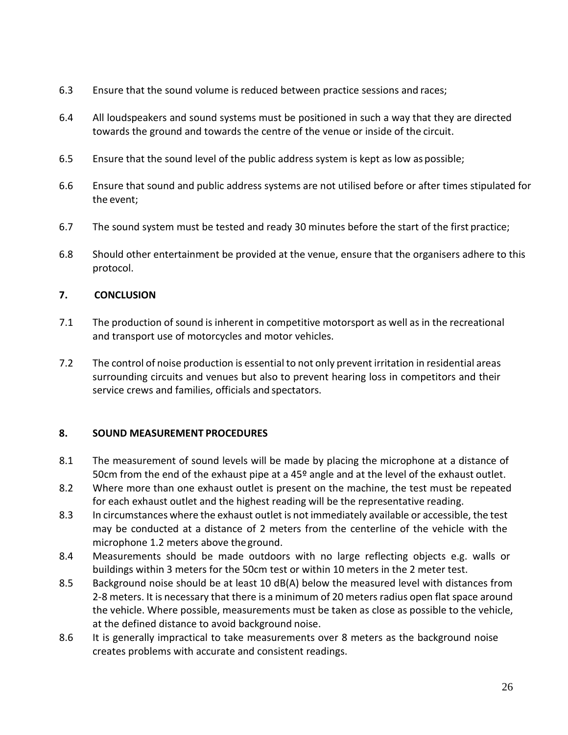- 6.3 Ensure that the sound volume is reduced between practice sessions and races;
- 6.4 All loudspeakers and sound systems must be positioned in such a way that they are directed towards the ground and towards the centre of the venue or inside of the circuit.
- 6.5 Ensure that the sound level of the public address system is kept as low as possible;
- 6.6 Ensure that sound and public address systems are not utilised before or after times stipulated for the event;
- 6.7 The sound system must be tested and ready 30 minutes before the start of the first practice;
- 6.8 Should other entertainment be provided at the venue, ensure that the organisers adhere to this protocol.

# **7. CONCLUSION**

- 7.1 The production of sound is inherent in competitive motorsport as well as in the recreational and transport use of motorcycles and motor vehicles.
- 7.2 The control of noise production is essential to not only prevent irritation in residential areas surrounding circuits and venues but also to prevent hearing loss in competitors and their service crews and families, officials and spectators.

# **8. SOUND MEASUREMENT PROCEDURES**

- 8.1 The measurement of sound levels will be made by placing the microphone at a distance of 50cm from the end of the exhaust pipe at a 45º angle and at the level of the exhaust outlet.
- 8.2 Where more than one exhaust outlet is present on the machine, the test must be repeated for each exhaust outlet and the highest reading will be the representative reading.
- 8.3 In circumstances where the exhaust outlet is not immediately available or accessible, the test may be conducted at a distance of 2 meters from the centerline of the vehicle with the microphone 1.2 meters above theground.
- 8.4 Measurements should be made outdoors with no large reflecting objects e.g. walls or buildings within 3 meters for the 50cm test or within 10 meters in the 2 meter test.
- 8.5 Background noise should be at least 10 dB(A) below the measured level with distances from 2-8 meters. It is necessary that there is a minimum of 20 meters radius open flat space around the vehicle. Where possible, measurements must be taken as close as possible to the vehicle, at the defined distance to avoid background noise.
- 8.6 It is generally impractical to take measurements over 8 meters as the background noise creates problems with accurate and consistent readings.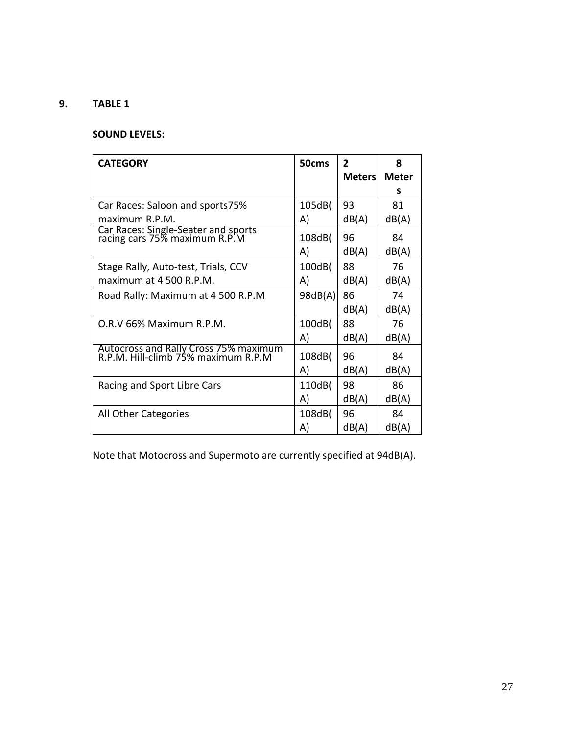# **9. TABLE 1**

# **SOUND LEVELS:**

| <b>CATEGORY</b>                                                              | 50cms   | $\overline{2}$<br><b>Meters</b> | 8<br><b>Meter</b> |
|------------------------------------------------------------------------------|---------|---------------------------------|-------------------|
|                                                                              |         |                                 | s                 |
| Car Races: Saloon and sports75%                                              | 105dB(  | 93                              | 81                |
| maximum R.P.M.                                                               | A)      | dB(A)                           | dB(A)             |
| Car Races: Single-Seater and sports<br>racing cars 75% maximum R.P.M         | 108dB(  | 96                              | 84                |
|                                                                              | A)      | dB(A)                           | dB(A)             |
| Stage Rally, Auto-test, Trials, CCV                                          | 100dB(  | 88                              | 76                |
| maximum at 4 500 R.P.M.                                                      | A)      | dB(A)                           | dB(A)             |
| Road Rally: Maximum at 4 500 R.P.M                                           | 98dB(A) | 86<br>dB(A)                     | 74<br>dB(A)       |
| O.R.V 66% Maximum R.P.M.                                                     | 100dB(  | 88                              | 76                |
|                                                                              | A)      | dB(A)                           | dB(A)             |
| Autocross and Rally Cross 75% maximum<br>R.P.M. Hill-climb 75% maximum R.P.M | 108dB(  | 96                              | 84                |
|                                                                              | A)      | dB(A)                           | dB(A)             |
| Racing and Sport Libre Cars                                                  | 110dB(  | 98                              | 86                |
|                                                                              | A)      | dB(A)                           | dB(A)             |
| All Other Categories                                                         | 108dB(  | 96                              | 84                |
|                                                                              | A)      | dB(A)                           | dB(A)             |

Note that Motocross and Supermoto are currently specified at 94dB(A).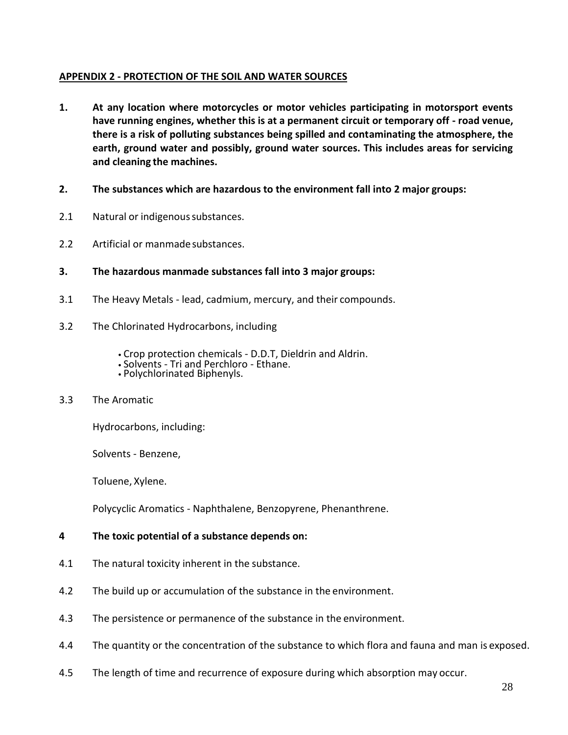# **APPENDIX 2 - PROTECTION OF THE SOIL AND WATER SOURCES**

- **1. At any location where motorcycles or motor vehicles participating in motorsport events have running engines, whether this is at a permanent circuit or temporary off - road venue, there is a risk of polluting substances being spilled and contaminating the atmosphere, the earth, ground water and possibly, ground water sources. This includes areas for servicing and cleaning the machines.**
- **2. The substances which are hazardous to the environment fall into 2 major groups:**
- 2.1 Natural or indigenous substances.
- 2.2 Artificial or manmadesubstances.
- **3. The hazardous manmade substances fall into 3 major groups:**
- 3.1 The Heavy Metals lead, cadmium, mercury, and their compounds.
- 3.2 The Chlorinated Hydrocarbons, including
	- Crop protection chemicals D.D.T, Dieldrin and Aldrin.
	- Solvents Tri and Perchloro Ethane.
	- Polychlorinated Biphenyls.

#### 3.3 The Aromatic

Hydrocarbons, including:

Solvents - Benzene,

Toluene, Xylene.

Polycyclic Aromatics - Naphthalene, Benzopyrene, Phenanthrene.

#### **4 The toxic potential of a substance depends on:**

- 4.1 The natural toxicity inherent in the substance.
- 4.2 The build up or accumulation of the substance in the environment.
- 4.3 The persistence or permanence of the substance in the environment.
- 4.4 The quantity or the concentration of the substance to which flora and fauna and man is exposed.
- 4.5 The length of time and recurrence of exposure during which absorption may occur.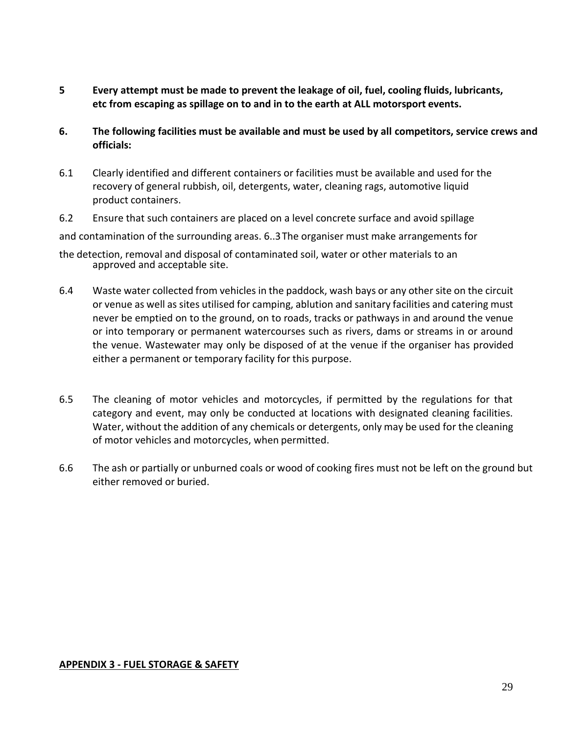- **5 Every attempt must be made to prevent the leakage of oil, fuel, cooling fluids, lubricants, etc from escaping as spillage on to and in to the earth at ALL motorsport events.**
- **6. The following facilities must be available and must be used by all competitors, service crews and officials:**
- 6.1 Clearly identified and different containers or facilities must be available and used for the recovery of general rubbish, oil, detergents, water, cleaning rags, automotive liquid product containers.
- 6.2 Ensure that such containers are placed on a level concrete surface and avoid spillage

and contamination of the surrounding areas. 6..3The organiser must make arrangements for

- the detection, removal and disposal of contaminated soil, water or other materials to an approved and acceptable site.
- 6.4 Waste water collected from vehicles in the paddock, wash bays or any other site on the circuit or venue as well as sites utilised for camping, ablution and sanitary facilities and catering must never be emptied on to the ground, on to roads, tracks or pathways in and around the venue or into temporary or permanent watercourses such as rivers, dams or streams in or around the venue. Wastewater may only be disposed of at the venue if the organiser has provided either a permanent or temporary facility for this purpose.
- 6.5 The cleaning of motor vehicles and motorcycles, if permitted by the regulations for that category and event, may only be conducted at locations with designated cleaning facilities. Water, without the addition of any chemicals or detergents, only may be used for the cleaning of motor vehicles and motorcycles, when permitted.
- 6.6 The ash or partially or unburned coals or wood of cooking fires must not be left on the ground but either removed or buried.

#### **APPENDIX 3 - FUEL STORAGE & SAFETY**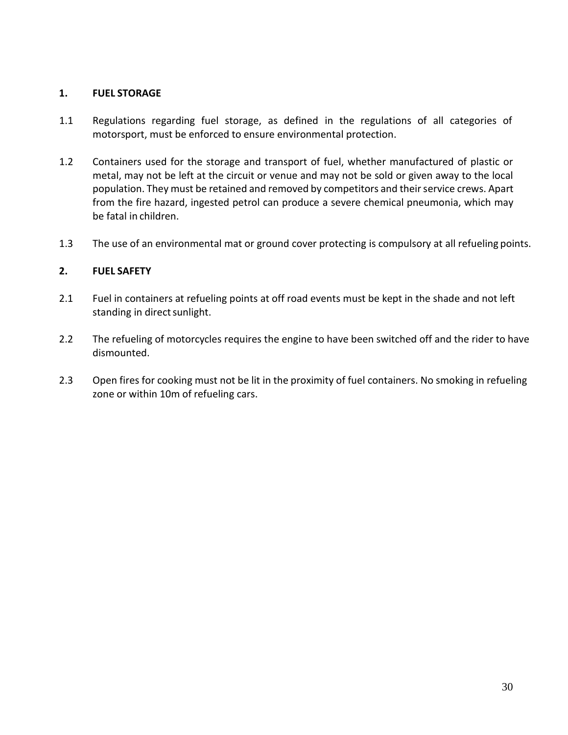# **1. FUEL STORAGE**

- 1.1 Regulations regarding fuel storage, as defined in the regulations of all categories of motorsport, must be enforced to ensure environmental protection.
- 1.2 Containers used for the storage and transport of fuel, whether manufactured of plastic or metal, may not be left at the circuit or venue and may not be sold or given away to the local population. They must be retained and removed by competitors and their service crews. Apart from the fire hazard, ingested petrol can produce a severe chemical pneumonia, which may be fatal in children.
- 1.3 The use of an environmental mat or ground cover protecting is compulsory at all refueling points.

# **2. FUEL SAFETY**

- 2.1 Fuel in containers at refueling points at off road events must be kept in the shade and not left standing in direct sunlight.
- 2.2 The refueling of motorcycles requires the engine to have been switched off and the rider to have dismounted.
- 2.3 Open fires for cooking must not be lit in the proximity of fuel containers. No smoking in refueling zone or within 10m of refueling cars.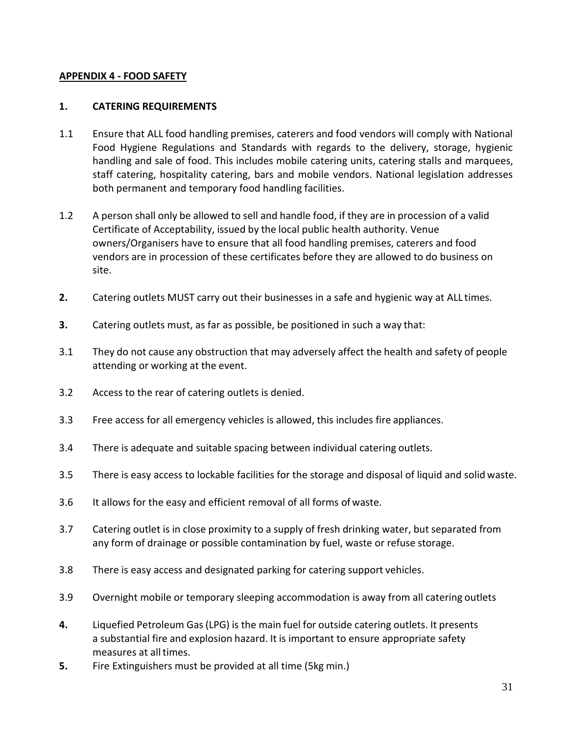# **APPENDIX 4 - FOOD SAFETY**

# **1. CATERING REQUIREMENTS**

- 1.1 Ensure that ALL food handling premises, caterers and food vendors will comply with National Food Hygiene Regulations and Standards with regards to the delivery, storage, hygienic handling and sale of food. This includes mobile catering units, catering stalls and marquees, staff catering, hospitality catering, bars and mobile vendors. National legislation addresses both permanent and temporary food handling facilities.
- 1.2 A person shall only be allowed to sell and handle food, if they are in procession of a valid Certificate of Acceptability, issued by the local public health authority. Venue owners/Organisers have to ensure that all food handling premises, caterers and food vendors are in procession of these certificates before they are allowed to do business on site.
- **2.** Catering outlets MUST carry out their businesses in a safe and hygienic way at ALL times.
- **3.** Catering outlets must, as far as possible, be positioned in such a way that:
- 3.1 They do not cause any obstruction that may adversely affect the health and safety of people attending or working at the event.
- 3.2 Access to the rear of catering outlets is denied.
- 3.3 Free access for all emergency vehicles is allowed, this includes fire appliances.
- 3.4 There is adequate and suitable spacing between individual catering outlets.
- 3.5 There is easy access to lockable facilities for the storage and disposal of liquid and solid waste.
- 3.6 It allows for the easy and efficient removal of all forms of waste.
- 3.7 Catering outlet is in close proximity to a supply of fresh drinking water, but separated from any form of drainage or possible contamination by fuel, waste or refuse storage.
- 3.8 There is easy access and designated parking for catering support vehicles.
- 3.9 Overnight mobile or temporary sleeping accommodation is away from all catering outlets
- **4.** Liquefied Petroleum Gas(LPG) is the main fuel for outside catering outlets. It presents a substantial fire and explosion hazard. It is important to ensure appropriate safety measures at all times.
- **5.** Fire Extinguishers must be provided at all time (5kg min.)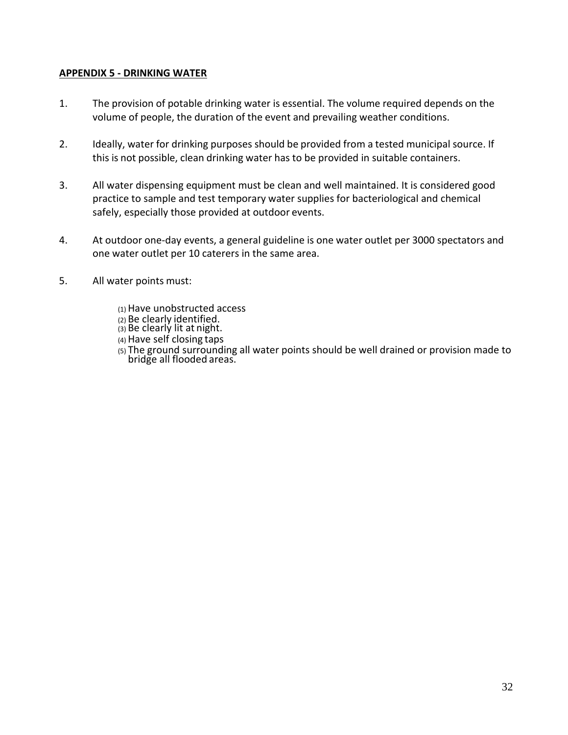# **APPENDIX 5 - DRINKING WATER**

- 1. The provision of potable drinking water is essential. The volume required depends on the volume of people, the duration of the event and prevailing weather conditions.
- 2. Ideally, water for drinking purposes should be provided from a tested municipal source. If this is not possible, clean drinking water has to be provided in suitable containers.
- 3. All water dispensing equipment must be clean and well maintained. It is considered good practice to sample and test temporary water supplies for bacteriological and chemical safely, especially those provided at outdoor events.
- 4. At outdoor one-day events, a general guideline is one water outlet per 3000 spectators and one water outlet per 10 caterers in the same area.
- 5. All water points must:
	- (1) Have unobstructed access
	- (2) Be clearly identified.
	- $\overline{a}$  Be clearly lit at night.
	- (4) Have self closing taps
	- (5) The ground surrounding all water points should be well drained or provision made to bridge all flooded areas.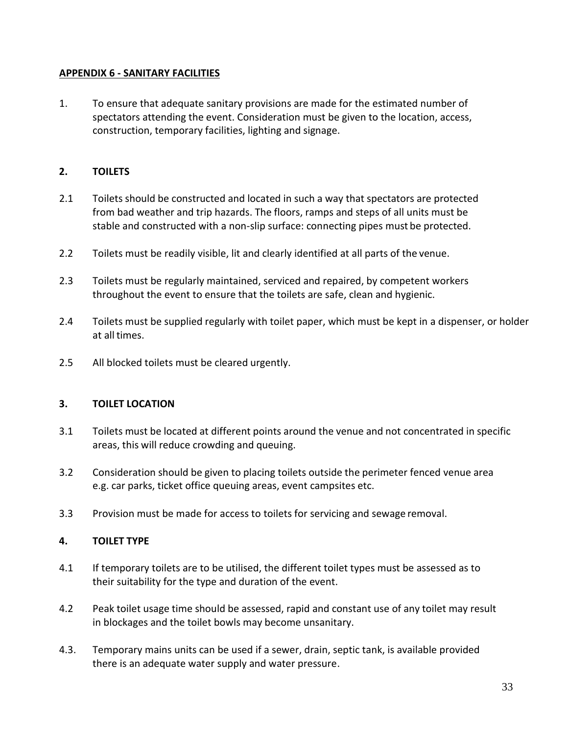# **APPENDIX 6 - SANITARY FACILITIES**

1. To ensure that adequate sanitary provisions are made for the estimated number of spectators attending the event. Consideration must be given to the location, access, construction, temporary facilities, lighting and signage.

# **2. TOILETS**

- 2.1 Toilets should be constructed and located in such a way that spectators are protected from bad weather and trip hazards. The floors, ramps and steps of all units must be stable and constructed with a non-slip surface: connecting pipes must be protected.
- 2.2 Toilets must be readily visible, lit and clearly identified at all parts of the venue.
- 2.3 Toilets must be regularly maintained, serviced and repaired, by competent workers throughout the event to ensure that the toilets are safe, clean and hygienic.
- 2.4 Toilets must be supplied regularly with toilet paper, which must be kept in a dispenser, or holder at all times.
- 2.5 All blocked toilets must be cleared urgently.

# **3. TOILET LOCATION**

- 3.1 Toilets must be located at different points around the venue and not concentrated in specific areas, this will reduce crowding and queuing.
- 3.2 Consideration should be given to placing toilets outside the perimeter fenced venue area e.g. car parks, ticket office queuing areas, event campsites etc.
- 3.3 Provision must be made for access to toilets for servicing and sewage removal.

# **4. TOILET TYPE**

- 4.1 If temporary toilets are to be utilised, the different toilet types must be assessed as to their suitability for the type and duration of the event.
- 4.2 Peak toilet usage time should be assessed, rapid and constant use of any toilet may result in blockages and the toilet bowls may become unsanitary.
- 4.3. Temporary mains units can be used if a sewer, drain, septic tank, is available provided there is an adequate water supply and water pressure.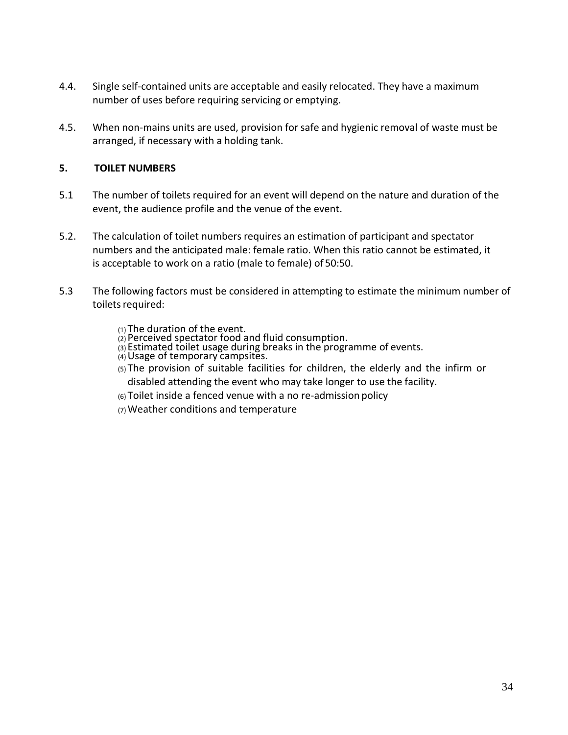- 4.4. Single self-contained units are acceptable and easily relocated. They have a maximum number of uses before requiring servicing or emptying.
- 4.5. When non-mains units are used, provision for safe and hygienic removal of waste must be arranged, if necessary with a holding tank.

# **5. TOILET NUMBERS**

- 5.1 The number of toilets required for an event will depend on the nature and duration of the event, the audience profile and the venue of the event.
- 5.2. The calculation of toilet numbers requires an estimation of participant and spectator numbers and the anticipated male: female ratio. When this ratio cannot be estimated, it is acceptable to work on a ratio (male to female) of 50:50.
- 5.3 The following factors must be considered in attempting to estimate the minimum number of toilets required:
	- (1) The duration of the event.
	- (2) Perceived spectator food and fluid consumption.
	- (3) Estimated toilet usage during breaks in the programme of events.
	- $\alpha$ ) Usage of temporary campsites.
	- (5) The provision of suitable facilities for children, the elderly and the infirm or disabled attending the event who may take longer to use the facility.
	- (6) Toilet inside a fenced venue with a no re-admission policy
	- (7)Weather conditions and temperature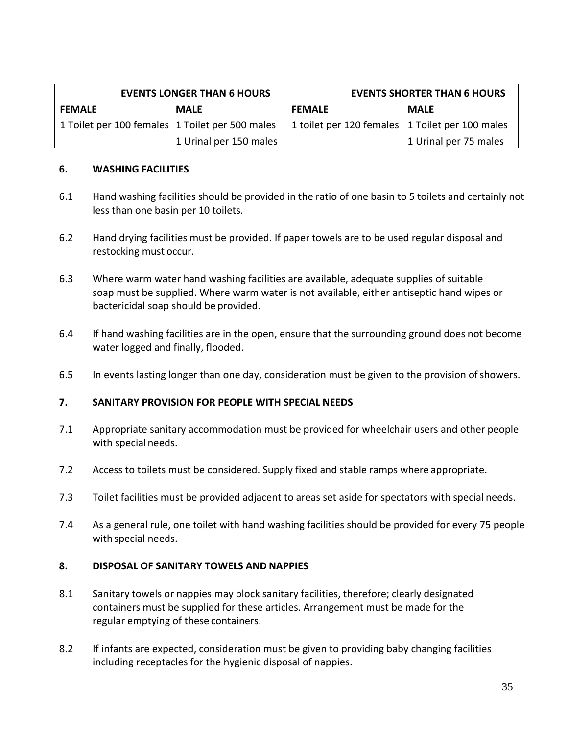| <b>EVENTS LONGER THAN 6 HOURS</b>               |                        | <b>EVENTS SHORTER THAN 6 HOURS</b>                |                       |  |
|-------------------------------------------------|------------------------|---------------------------------------------------|-----------------------|--|
| <b>FEMALE</b>                                   | <b>MALE</b>            | <b>FEMALE</b>                                     | <b>MALE</b>           |  |
| 1 Toilet per 100 females 1 Toilet per 500 males |                        | 1 toilet per 120 females   1 Toilet per 100 males |                       |  |
|                                                 | 1 Urinal per 150 males |                                                   | 1 Urinal per 75 males |  |

# **6. WASHING FACILITIES**

- 6.1 Hand washing facilities should be provided in the ratio of one basin to 5 toilets and certainly not less than one basin per 10 toilets.
- 6.2 Hand drying facilities must be provided. If paper towels are to be used regular disposal and restocking must occur.
- 6.3 Where warm water hand washing facilities are available, adequate supplies of suitable soap must be supplied. Where warm water is not available, either antiseptic hand wipes or bactericidal soap should be provided.
- 6.4 If hand washing facilities are in the open, ensure that the surrounding ground does not become water logged and finally, flooded.
- 6.5 In events lasting longer than one day, consideration must be given to the provision of showers.

#### **7. SANITARY PROVISION FOR PEOPLE WITH SPECIAL NEEDS**

- 7.1 Appropriate sanitary accommodation must be provided for wheelchair users and other people with special needs.
- 7.2 Access to toilets must be considered. Supply fixed and stable ramps where appropriate.
- 7.3 Toilet facilities must be provided adjacent to areas set aside for spectators with special needs.
- 7.4 As a general rule, one toilet with hand washing facilities should be provided for every 75 people with special needs.

#### **8. DISPOSAL OF SANITARY TOWELS AND NAPPIES**

- 8.1 Sanitary towels or nappies may block sanitary facilities, therefore; clearly designated containers must be supplied for these articles. Arrangement must be made for the regular emptying of these containers.
- 8.2 If infants are expected, consideration must be given to providing baby changing facilities including receptacles for the hygienic disposal of nappies.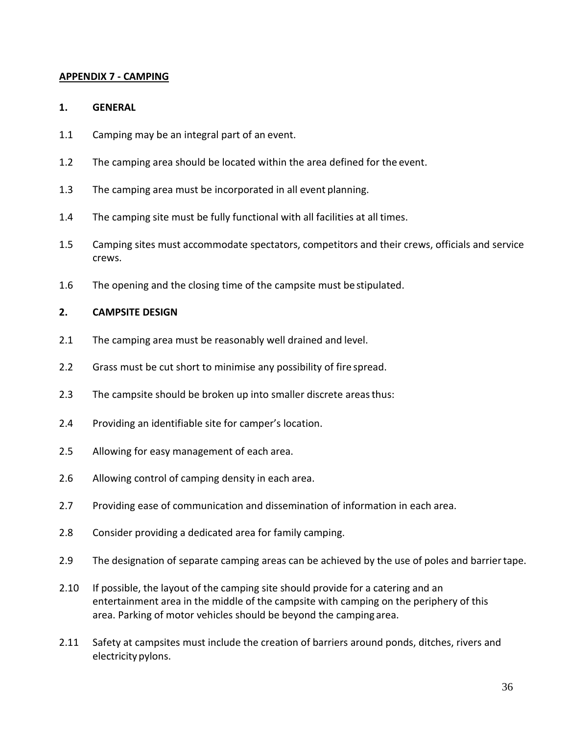#### **APPENDIX 7 - CAMPING**

#### **1. GENERAL**

- 1.1 Camping may be an integral part of an event.
- 1.2 The camping area should be located within the area defined for the event.
- 1.3 The camping area must be incorporated in all event planning.
- 1.4 The camping site must be fully functional with all facilities at all times.
- 1.5 Camping sites must accommodate spectators, competitors and their crews, officials and service crews.
- 1.6 The opening and the closing time of the campsite must be stipulated.

# **2. CAMPSITE DESIGN**

- 2.1 The camping area must be reasonably well drained and level.
- 2.2 Grass must be cut short to minimise any possibility of fire spread.
- 2.3 The campsite should be broken up into smaller discrete areas thus:
- 2.4 Providing an identifiable site for camper's location.
- 2.5 Allowing for easy management of each area.
- 2.6 Allowing control of camping density in each area.
- 2.7 Providing ease of communication and dissemination of information in each area.
- 2.8 Consider providing a dedicated area for family camping.
- 2.9 The designation of separate camping areas can be achieved by the use of poles and barriertape.
- 2.10 If possible, the layout of the camping site should provide for a catering and an entertainment area in the middle of the campsite with camping on the periphery of this area. Parking of motor vehicles should be beyond the camping area.
- 2.11 Safety at campsites must include the creation of barriers around ponds, ditches, rivers and electricitypylons.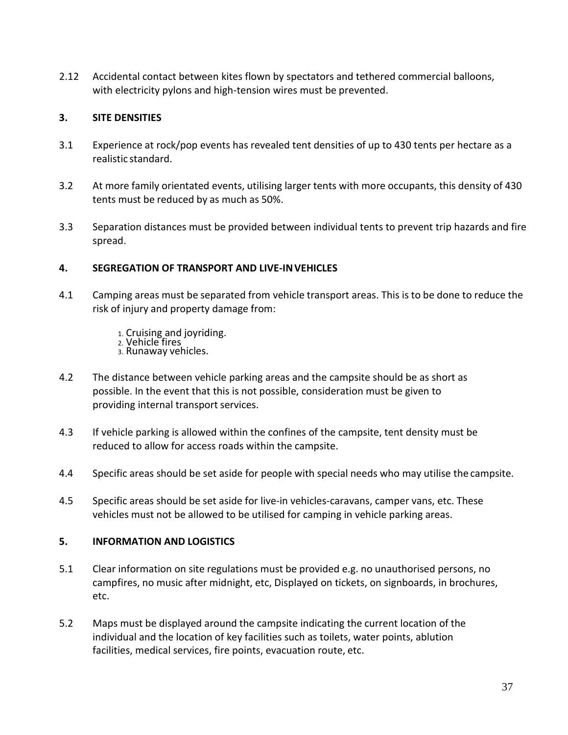2.12 Accidental contact between kites flown by spectators and tethered commercial balloons, with electricity pylons and high-tension wires must be prevented.

# **3. SITE DENSITIES**

- 3.1 Experience at rock/pop events has revealed tent densities of up to 430 tents per hectare as a realistic standard.
- 3.2 At more family orientated events, utilising larger tents with more occupants, this density of 430 tents must be reduced by as much as 50%.
- 3.3 Separation distances must be provided between individual tents to prevent trip hazards and fire spread.

# **4. SEGREGATION OF TRANSPORT AND LIVE-INVEHICLES**

- 4.1 Camping areas must be separated from vehicle transport areas. This is to be done to reduce the risk of injury and property damage from:
	- 1. Cruising and joyriding.
	- 2. Vehicle fires
	- 3. Runaway vehicles.
- 4.2 The distance between vehicle parking areas and the campsite should be as short as possible. In the event that this is not possible, consideration must be given to providing internal transport services.
- 4.3 If vehicle parking is allowed within the confines of the campsite, tent density must be reduced to allow for access roads within the campsite.
- 4.4 Specific areas should be set aside for people with special needs who may utilise the campsite.
- 4.5 Specific areas should be set aside for live-in vehicles-caravans, camper vans, etc. These vehicles must not be allowed to be utilised for camping in vehicle parking areas.

# **5. INFORMATION AND LOGISTICS**

- 5.1 Clear information on site regulations must be provided e.g. no unauthorised persons, no campfires, no music after midnight, etc, Displayed on tickets, on signboards, in brochures, etc.
- 5.2 Maps must be displayed around the campsite indicating the current location of the individual and the location of key facilities such as toilets, water points, ablution facilities, medical services, fire points, evacuation route, etc.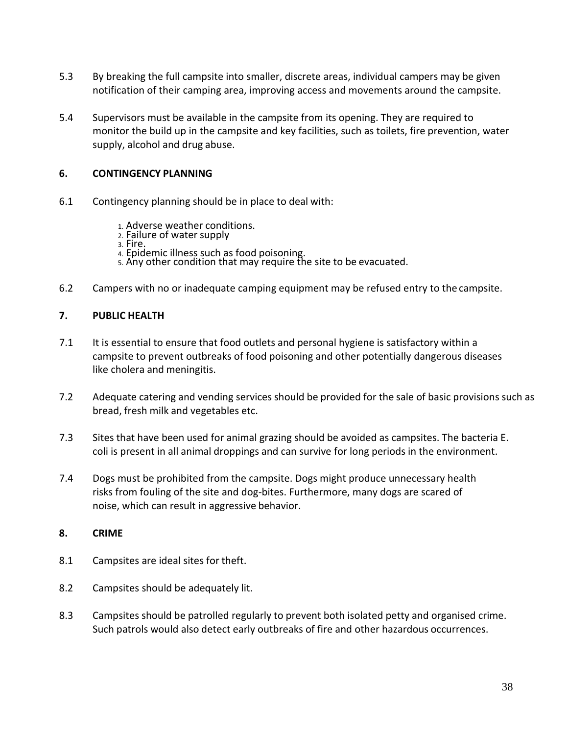- 5.3 By breaking the full campsite into smaller, discrete areas, individual campers may be given notification of their camping area, improving access and movements around the campsite.
- 5.4 Supervisors must be available in the campsite from its opening. They are required to monitor the build up in the campsite and key facilities, such as toilets, fire prevention, water supply, alcohol and drug abuse.

# **6. CONTINGENCY PLANNING**

- 6.1 Contingency planning should be in place to deal with:
	- 1. Adverse weather conditions.
	- 2. Failure of water supply
	- 3. Fire.
	- 4. Epidemic illness such as food poisoning.
	- 5. Any other condition that may require the site to be evacuated.
- 6.2 Campers with no or inadequate camping equipment may be refused entry to the campsite.

#### **7. PUBLIC HEALTH**

- 7.1 It is essential to ensure that food outlets and personal hygiene is satisfactory within a campsite to prevent outbreaks of food poisoning and other potentially dangerous diseases like cholera and meningitis.
- 7.2 Adequate catering and vending services should be provided for the sale of basic provisions such as bread, fresh milk and vegetables etc.
- 7.3 Sites that have been used for animal grazing should be avoided as campsites. The bacteria E. coli is present in all animal droppings and can survive for long periods in the environment.
- 7.4 Dogs must be prohibited from the campsite. Dogs might produce unnecessary health risks from fouling of the site and dog-bites. Furthermore, many dogs are scared of noise, which can result in aggressive behavior.

#### **8. CRIME**

- 8.1 Campsites are ideal sites for theft.
- 8.2 Campsites should be adequately lit.
- 8.3 Campsites should be patrolled regularly to prevent both isolated petty and organised crime. Such patrols would also detect early outbreaks of fire and other hazardous occurrences.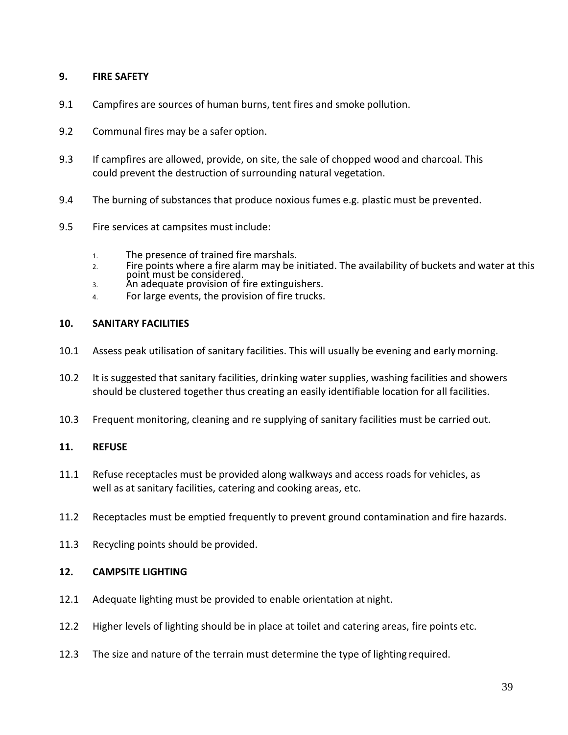# **9. FIRE SAFETY**

- 9.1 Campfires are sources of human burns, tent fires and smoke pollution.
- 9.2 Communal fires may be a safer option.
- 9.3 If campfires are allowed, provide, on site, the sale of chopped wood and charcoal. This could prevent the destruction of surrounding natural vegetation.
- 9.4 The burning of substances that produce noxious fumes e.g. plastic must be prevented.
- 9.5 Fire services at campsites must include:
	- 1. The presence of trained fire marshals.
	- 2. Fire points where a fire alarm may be initiated. The availability of buckets and water at this point must be considered.
	- 3. An adequate provision of fire extinguishers.
	- 4. For large events, the provision of fire trucks.

#### **10. SANITARY FACILITIES**

- 10.1 Assess peak utilisation of sanitary facilities. This will usually be evening and earlymorning.
- 10.2 It is suggested that sanitary facilities, drinking water supplies, washing facilities and showers should be clustered together thus creating an easily identifiable location for all facilities.
- 10.3 Frequent monitoring, cleaning and re supplying of sanitary facilities must be carried out.

#### **11. REFUSE**

- 11.1 Refuse receptacles must be provided along walkways and access roads for vehicles, as well as at sanitary facilities, catering and cooking areas, etc.
- 11.2 Receptacles must be emptied frequently to prevent ground contamination and fire hazards.
- 11.3 Recycling points should be provided.

#### **12. CAMPSITE LIGHTING**

- 12.1 Adequate lighting must be provided to enable orientation at night.
- 12.2 Higher levels of lighting should be in place at toilet and catering areas, fire points etc.
- 12.3 The size and nature of the terrain must determine the type of lighting required.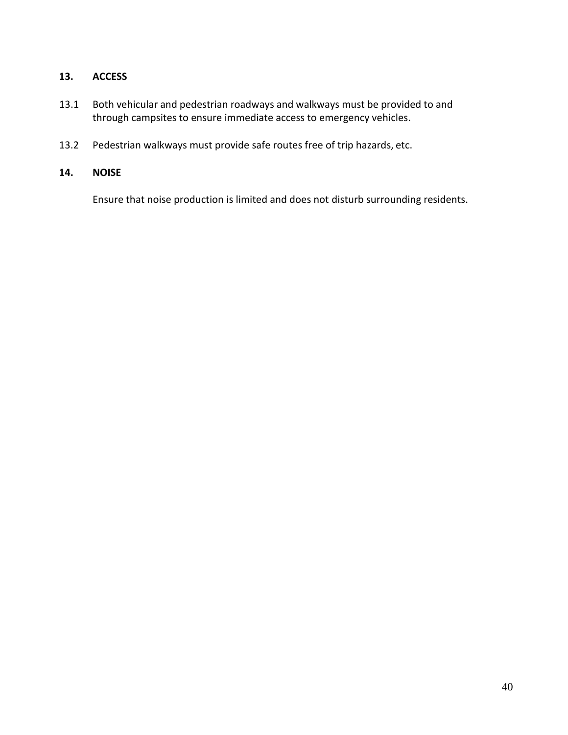# **13. ACCESS**

- 13.1 Both vehicular and pedestrian roadways and walkways must be provided to and through campsites to ensure immediate access to emergency vehicles.
- 13.2 Pedestrian walkways must provide safe routes free of trip hazards, etc.

# **14. NOISE**

Ensure that noise production is limited and does not disturb surrounding residents.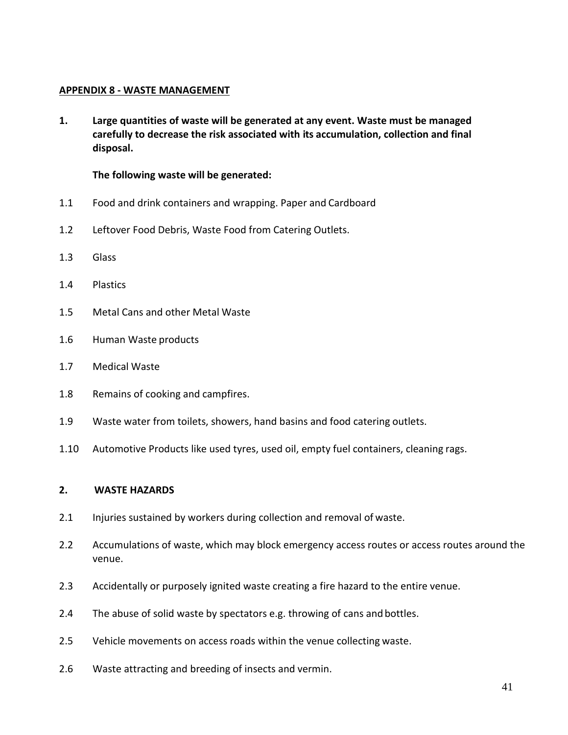#### **APPENDIX 8 - WASTE MANAGEMENT**

**1. Large quantities of waste will be generated at any event. Waste must be managed carefully to decrease the risk associated with its accumulation, collection and final disposal.**

#### **The following waste will be generated:**

- 1.1 Food and drink containers and wrapping. Paper and Cardboard
- 1.2 Leftover Food Debris, Waste Food from Catering Outlets.
- 1.3 Glass
- 1.4 Plastics
- 1.5 Metal Cans and other Metal Waste
- 1.6 Human Waste products
- 1.7 Medical Waste
- 1.8 Remains of cooking and campfires.
- 1.9 Waste water from toilets, showers, hand basins and food catering outlets.
- 1.10 Automotive Products like used tyres, used oil, empty fuel containers, cleaning rags.

#### **2. WASTE HAZARDS**

- 2.1 Injuries sustained by workers during collection and removal of waste.
- 2.2 Accumulations of waste, which may block emergency access routes or access routes around the venue.
- 2.3 Accidentally or purposely ignited waste creating a fire hazard to the entire venue.
- 2.4 The abuse of solid waste by spectators e.g. throwing of cans and bottles.
- 2.5 Vehicle movements on access roads within the venue collecting waste.
- 2.6 Waste attracting and breeding of insects and vermin.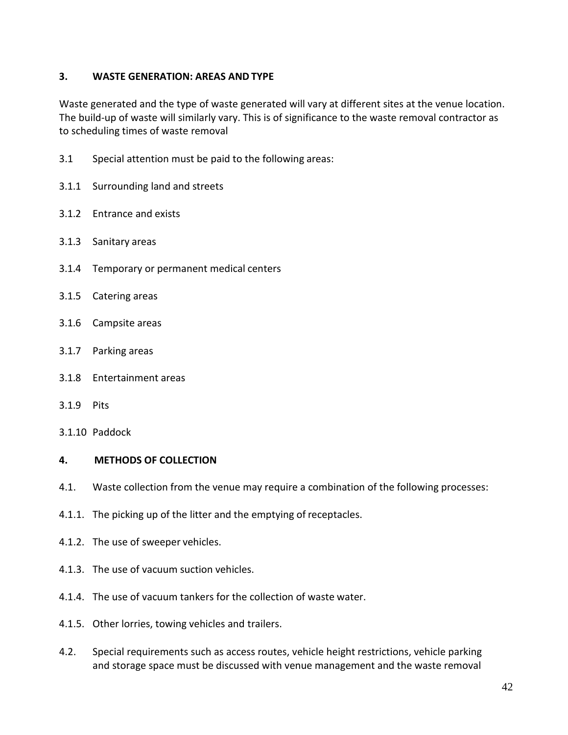# **3. WASTE GENERATION: AREAS AND TYPE**

Waste generated and the type of waste generated will vary at different sites at the venue location. The build-up of waste will similarly vary. This is of significance to the waste removal contractor as to scheduling times of waste removal

- 3.1 Special attention must be paid to the following areas:
- 3.1.1 Surrounding land and streets
- 3.1.2 Entrance and exists
- 3.1.3 Sanitary areas
- 3.1.4 Temporary or permanent medical centers
- 3.1.5 Catering areas
- 3.1.6 Campsite areas
- 3.1.7 Parking areas
- 3.1.8 Entertainment areas
- 3.1.9 Pits
- 3.1.10 Paddock

#### **4. METHODS OF COLLECTION**

- 4.1. Waste collection from the venue may require a combination of the following processes:
- 4.1.1. The picking up of the litter and the emptying of receptacles.
- 4.1.2. The use of sweeper vehicles.
- 4.1.3. The use of vacuum suction vehicles.
- 4.1.4. The use of vacuum tankers for the collection of waste water.
- 4.1.5. Other lorries, towing vehicles and trailers.
- 4.2. Special requirements such as access routes, vehicle height restrictions, vehicle parking and storage space must be discussed with venue management and the waste removal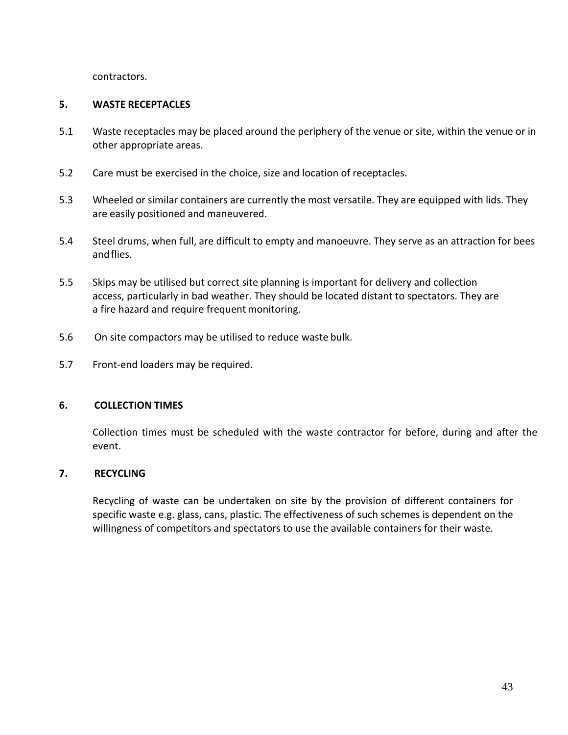contractors.

# **5. WASTE RECEPTACLES**

- 5.1 Waste receptacles may be placed around the periphery of the venue or site, within the venue or in other appropriate areas.
- 5.2 Care must be exercised in the choice, size and location of receptacles.
- 5.3 Wheeled or similar containers are currently the most versatile. They are equipped with lids. They are easily positioned and maneuvered.
- 5.4 Steel drums, when full, are difficult to empty and manoeuvre. They serve as an attraction for bees andflies.
- 5.5 Skips may be utilised but correct site planning is important for delivery and collection access, particularly in bad weather. They should be located distant to spectators. They are a fire hazard and require frequent monitoring.
- 5.6 On site compactors may be utilised to reduce waste bulk.
- 5.7 Front-end loaders may be required.

#### **6. COLLECTION TIMES**

Collection times must be scheduled with the waste contractor for before, during and after the event.

# **7. RECYCLING**

Recycling of waste can be undertaken on site by the provision of different containers for specific waste e.g. glass, cans, plastic. The effectiveness of such schemes is dependent on the willingness of competitors and spectators to use the available containers for their waste.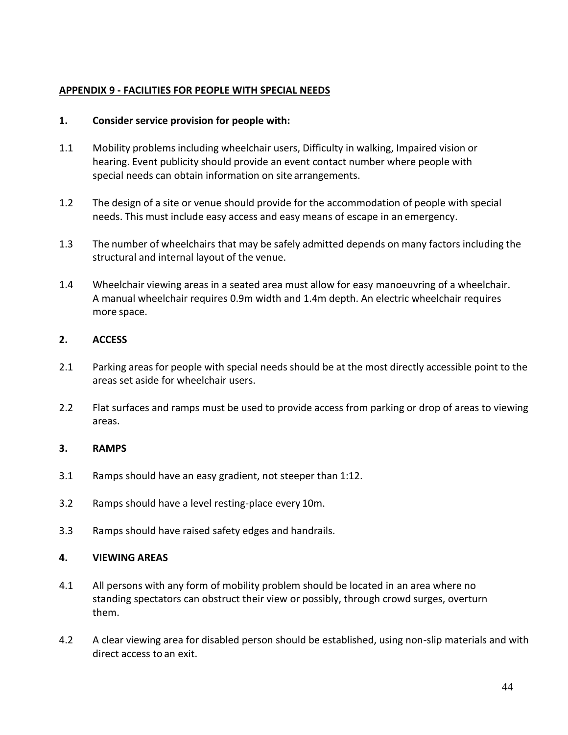# **APPENDIX 9 - FACILITIES FOR PEOPLE WITH SPECIAL NEEDS**

# **1. Consider service provision for people with:**

- 1.1 Mobility problems including wheelchair users, Difficulty in walking, Impaired vision or hearing. Event publicity should provide an event contact number where people with special needs can obtain information on site arrangements.
- 1.2 The design of a site or venue should provide for the accommodation of people with special needs. This must include easy access and easy means of escape in an emergency.
- 1.3 The number of wheelchairs that may be safely admitted depends on many factors including the structural and internal layout of the venue.
- 1.4 Wheelchair viewing areas in a seated area must allow for easy manoeuvring of a wheelchair. A manual wheelchair requires 0.9m width and 1.4m depth. An electric wheelchair requires more space.

# **2. ACCESS**

- 2.1 Parking areas for people with special needs should be at the most directly accessible point to the areas set aside for wheelchair users.
- 2.2 Flat surfaces and ramps must be used to provide access from parking or drop of areas to viewing areas.

# **3. RAMPS**

- 3.1 Ramps should have an easy gradient, not steeper than 1:12.
- 3.2 Ramps should have a level resting-place every 10m.
- 3.3 Ramps should have raised safety edges and handrails.

# **4. VIEWING AREAS**

- 4.1 All persons with any form of mobility problem should be located in an area where no standing spectators can obstruct their view or possibly, through crowd surges, overturn them.
- 4.2 A clear viewing area for disabled person should be established, using non-slip materials and with direct access to an exit.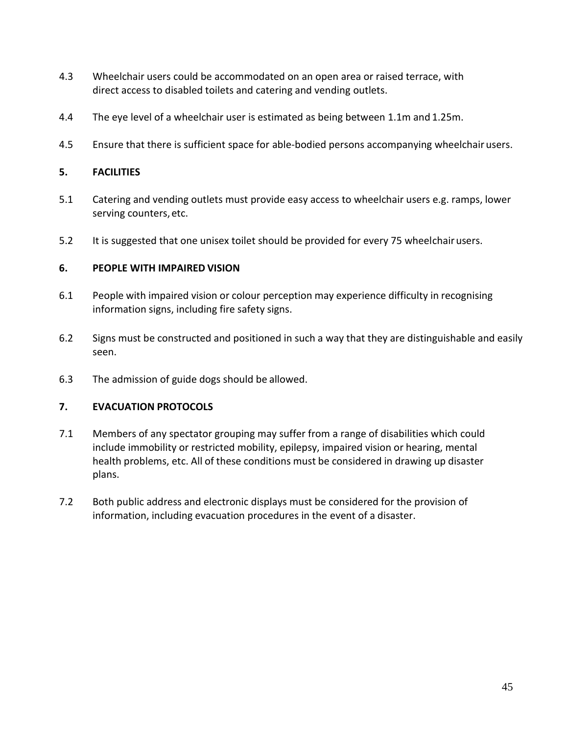- 4.3 Wheelchair users could be accommodated on an open area or raised terrace, with direct access to disabled toilets and catering and vending outlets.
- 4.4 The eye level of a wheelchair user is estimated as being between 1.1m and 1.25m.
- 4.5 Ensure that there is sufficient space for able-bodied persons accompanying wheelchair users.

#### **5. FACILITIES**

- 5.1 Catering and vending outlets must provide easy access to wheelchair users e.g. ramps, lower serving counters, etc.
- 5.2 It is suggested that one unisex toilet should be provided for every 75 wheelchairusers.

#### **6. PEOPLE WITH IMPAIRED VISION**

- 6.1 People with impaired vision or colour perception may experience difficulty in recognising information signs, including fire safety signs.
- 6.2 Signs must be constructed and positioned in such a way that they are distinguishable and easily seen.
- 6.3 The admission of guide dogs should be allowed.

#### **7. EVACUATION PROTOCOLS**

- 7.1 Members of any spectator grouping may suffer from a range of disabilities which could include immobility or restricted mobility, epilepsy, impaired vision or hearing, mental health problems, etc. All of these conditions must be considered in drawing up disaster plans.
- 7.2 Both public address and electronic displays must be considered for the provision of information, including evacuation procedures in the event of a disaster.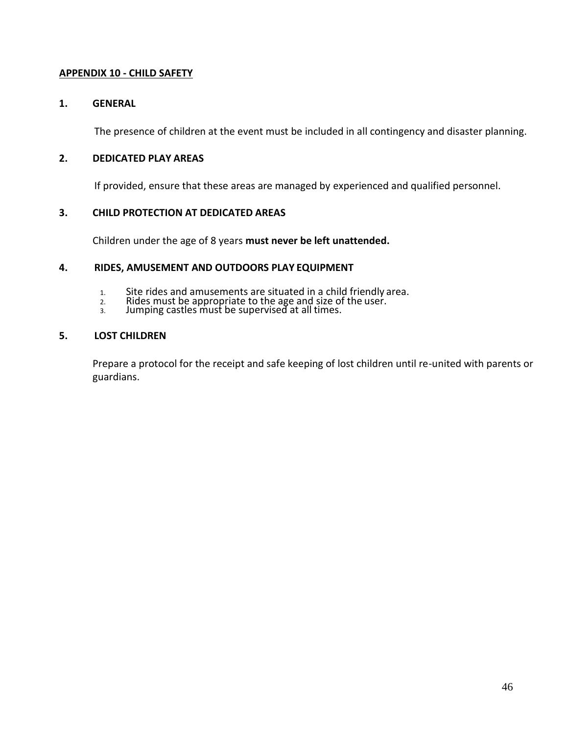#### **APPENDIX 10 - CHILD SAFETY**

#### **1. GENERAL**

The presence of children at the event must be included in all contingency and disaster planning.

#### **2. DEDICATED PLAY AREAS**

If provided, ensure that these areas are managed by experienced and qualified personnel.

#### **3. CHILD PROTECTION AT DEDICATED AREAS**

Children under the age of 8 years **must never be left unattended.**

#### **4. RIDES, AMUSEMENT AND OUTDOORS PLAY EQUIPMENT**

- 1. Site rides and amusements are situated in a child friendly area.
- 2. Rides must be appropriate to the age and size of the user.
- 3. Jumping castles must be supervised at all times.

#### **5. LOST CHILDREN**

Prepare a protocol for the receipt and safe keeping of lost children until re-united with parents or guardians.